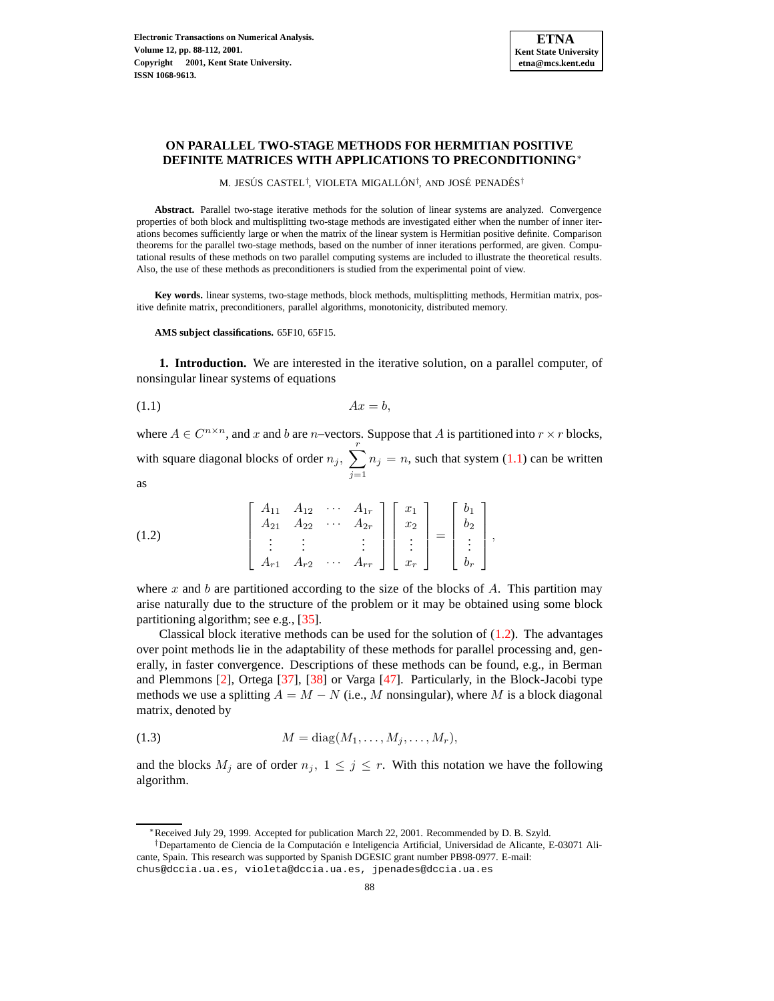# **ON PARALLEL TWO-STAGE METHODS FOR HERMITIAN POSITIVE DEFINITE MATRICES WITH APPLICATIONS TO PRECONDITIONING**<sup>∗</sup>

M. JESÚS CASTEL<sup>†</sup>, VIOLETA MIGALLÓN<sup>†</sup>, AND JOSÉ PENADÉS<sup>†</sup>

**Abstract.** Parallel two-stage iterative methods for the solution of linear systems are analyzed. Convergence properties of both block and multisplitting two-stage methods are investigated either when the number of inner iterations becomes sufficiently large or when the matrix of the linear system is Hermitian positive definite. Comparison theorems for the parallel two-stage methods, based on the number of inner iterations performed, are given. Computational results of these methods on two parallel computing systems are included to illustrate the theoretical results. Also, the use of these methods as preconditioners is studied from the experimental point of view.

**Key words.** linear systems, two-stage methods, block methods, multisplitting methods, Hermitian matrix, positive definite matrix, preconditioners, parallel algorithms, monotonicity, distributed memory.

**AMS subject classifications.** 65F10, 65F15.

<span id="page-0-3"></span>**1. Introduction.** We are interested in the iterative solution, on a parallel computer, of nonsingular linear systems of equations

<span id="page-0-0"></span>
$$
(1.1) \t\t Ax = b,
$$

where  $A \in C^{n \times n}$ , and x and b are n–vectors. Suppose that A is partitioned into  $r \times r$  blocks, with square diagonal blocks of order  $n_j$ ,  $\sum^r$  $j=1$  $n_j = n$ , such that system [\(1.1\)](#page-0-0) can be written as

<span id="page-0-1"></span>(1.2) 
$$
\begin{bmatrix} A_{11} & A_{12} & \cdots & A_{1r} \\ A_{21} & A_{22} & \cdots & A_{2r} \\ \vdots & \vdots & & \vdots \\ A_{r1} & A_{r2} & \cdots & A_{rr} \end{bmatrix} \begin{bmatrix} x_1 \\ x_2 \\ \vdots \\ x_r \end{bmatrix} = \begin{bmatrix} b_1 \\ b_2 \\ \vdots \\ b_r \end{bmatrix},
$$

where x and b are partitioned according to the size of the blocks of A. This partition may arise naturally due to the structure of the problem or it may be obtained using some block partitioning algorithm; see e.g., [\[35\]](#page-20-0).

Classical block iterative methods can be used for the solution of  $(1.2)$ . The advantages over point methods lie in the adaptability of these methods for parallel processing and, generally, in faster convergence. Descriptions of these methods can be found, e.g., in Berman and Plemmons [\[2\]](#page-19-0), Ortega [\[37\]](#page-20-1), [\[38\]](#page-20-2) or Varga [\[47\]](#page-20-3). Particularly, in the Block-Jacobi type methods we use a splitting  $A = M - N$  (i.e., M nonsingular), where M is a block diagonal matrix, denoted by

<span id="page-0-2"></span>
$$
(1.3) \t\t\t M = \text{diag}(M_1, \ldots, M_j, \ldots, M_r),
$$

and the blocks  $M_j$  are of order  $n_j$ ,  $1 \leq j \leq r$ . With this notation we have the following algorithm.

<sup>∗</sup>Received July 29, 1999. Accepted for publication March 22, 2001. Recommended by D. B. Szyld.

<sup>†</sup>Departamento de Ciencia de la Computacion´ e Inteligencia Artificial, Universidad de Alicante, E-03071 Alicante, Spain. This research was supported by Spanish DGESIC grant number PB98-0977. E-mail: chus@dccia.ua.es, violeta@dccia.ua.es, jpenades@dccia.ua.es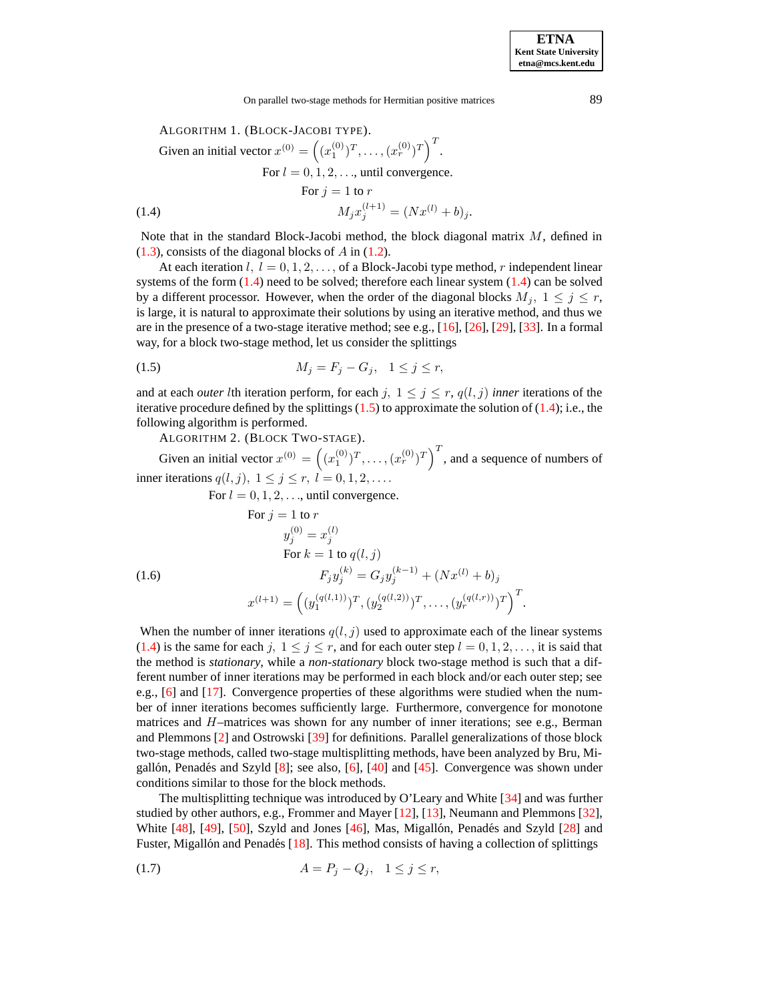<span id="page-1-2"></span><span id="page-1-0"></span>ALGORITHM 1. (BLOCK-JACOBI TYPE).  
\nGiven an initial vector 
$$
x^{(0)} = ((x_1^{(0)})^T, ..., (x_r^{(0)})^T)^T
$$
.  
\nFor  $l = 0, 1, 2, ...$ , until convergence.  
\nFor  $j = 1$  to  $r$   
\n $M_j x_j^{(l+1)} = (Nx^{(l)} + b)_j$ .

Note that in the standard Block-Jacobi method, the block diagonal matrix M, defined in  $(1.3)$ , consists of the diagonal blocks of A in  $(1.2)$ .

At each iteration l,  $l = 0, 1, 2, \ldots$ , of a Block-Jacobi type method, r independent linear systems of the form  $(1.4)$  need to be solved; therefore each linear system  $(1.4)$  can be solved by a different processor. However, when the order of the diagonal blocks  $M_j$ ,  $1 \leq j \leq r$ , is large, it is natural to approximate their solutions by using an iterative method, and thus we are in the presence of a two-stage iterative method; see e.g., [\[16\]](#page-19-1), [\[26\]](#page-20-4), [\[29\]](#page-20-5), [\[33\]](#page-20-6). In a formal way, for a block two-stage method, let us consider the splittings

<span id="page-1-1"></span>(1.5) 
$$
M_j = F_j - G_j, \quad 1 \le j \le r,
$$

and at each *outer* lth iteration perform, for each j,  $1 \leq j \leq r$ ,  $q(l, j)$  *inner* iterations of the iterative procedure defined by the splittings  $(1.5)$  to approximate the solution of  $(1.4)$ ; i.e., the following algorithm is performed.

<span id="page-1-4"></span>ALGORITHM 2. (BLOCK TWO-STAGE).

Given an initial vector  $x^{(0)} = ((x_1^{(0)})^T, \dots, (x_r^{(0)})^T)$ , and a sequence of numbers of inner iterations  $q(l, j)$ ,  $1 \leq j \leq r$ ,  $l = 0, 1, 2, \ldots$ .

For  $l = 0, 1, 2, \ldots$ , until convergence.

<span id="page-1-5"></span>(1.6)  
\nFor 
$$
j = 1
$$
 to  $r$   
\n $y_j^{(0)} = x_j^{(l)}$   
\nFor  $k = 1$  to  $q(l, j)$   
\n
$$
F_j y_j^{(k)} = G_j y_j^{(k-1)} + (Nx^{(l)} + b)_j
$$
\n
$$
x^{(l+1)} = ((y_1^{(q(l,1))})^T, (y_2^{(q(l,2))})^T, ..., (y_r^{(q(l,r))})^T)^T.
$$

When the number of inner iterations  $q(l, j)$  used to approximate each of the linear systems [\(1.4\)](#page-1-0) is the same for each j,  $1 \le j \le r$ , and for each outer step  $l = 0, 1, 2, \ldots$ , it is said that the method is *stationary*, while a *non-stationary* block two-stage method is such that a different number of inner iterations may be performed in each block and/or each outer step; see e.g., [\[6\]](#page-19-2) and [\[17\]](#page-20-7). Convergence properties of these algorithms were studied when the number of inner iterations becomes sufficiently large. Furthermore, convergence for monotone matrices and H–matrices was shown for any number of inner iterations; see e.g., Berman and Plemmons [\[2\]](#page-19-0) and Ostrowski [\[39\]](#page-20-8) for definitions. Parallel generalizations of those block two-stage methods, called two-stage multisplitting methods, have been analyzed by Bru, Migallón, Penadés and Szyld  $[8]$ ; see also,  $[6]$ ,  $[40]$  and  $[45]$ . Convergence was shown under conditions similar to those for the block methods.

The multisplitting technique was introduced by O'Leary and White [\[34\]](#page-20-11) and was further studied by other authors, e.g., Frommer and Mayer [\[12\]](#page-19-4), [\[13\]](#page-19-5), Neumann and Plemmons [\[32\]](#page-20-12), White  $[48]$ ,  $[49]$ ,  $[50]$ , Szyld and Jones  $[46]$ , Mas, Migallón, Penadés and Szyld  $[28]$  and Fuster, Migallón and Penadés  $[18]$ . This method consists of having a collection of splittings

<span id="page-1-3"></span>(1.7) 
$$
A = P_j - Q_j, \quad 1 \le j \le r,
$$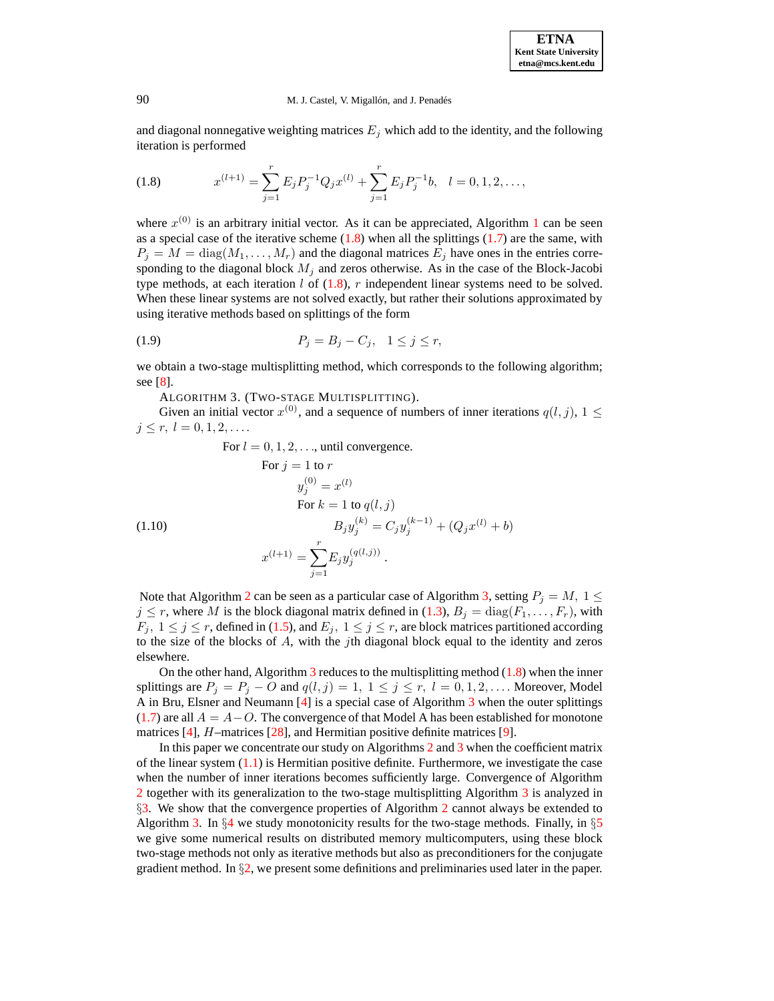and diagonal nonnegative weighting matrices  $E_j$  which add to the identity, and the following iteration is performed

<span id="page-2-0"></span>(1.8) 
$$
x^{(l+1)} = \sum_{j=1}^{r} E_j P_j^{-1} Q_j x^{(l)} + \sum_{j=1}^{r} E_j P_j^{-1} b, \quad l = 0, 1, 2, \dots,
$$

where  $x^{(0)}$  is an arbitrary initial vector. As it can be appreciated, Algorithm [1](#page-1-2) can be seen as a special case of the iterative scheme  $(1.8)$  when all the splittings  $(1.7)$  are the same, with  $P_j = M = \text{diag}(M_1, \dots, M_r)$  and the diagonal matrices  $E_j$  have ones in the entries corresponding to the diagonal block  $M_i$  and zeros otherwise. As in the case of the Block-Jacobi type methods, at each iteration  $l$  of [\(1.8\)](#page-2-0),  $r$  independent linear systems need to be solved. When these linear systems are not solved exactly, but rather their solutions approximated by using iterative methods based on splittings of the form

(1.9) 
$$
P_j = B_j - C_j, \quad 1 \le j \le r,
$$

<span id="page-2-1"></span>we obtain a two-stage multisplitting method, which corresponds to the following algorithm; see [\[8\]](#page-19-3).

ALGORITHM 3. (TWO-STAGE MULTISPLITTING).

Given an initial vector  $x^{(0)}$ , and a sequence of numbers of inner iterations  $q(l, j)$ ,  $1 \leq$  $j \leq r, l = 0, 1, 2, \ldots$ 

<span id="page-2-2"></span>For 
$$
l = 0, 1, 2, ...
$$
, until convergence.  
\nFor  $j = 1$  to  $r$   
\n $y_j^{(0)} = x^{(l)}$   
\nFor  $k = 1$  to  $q(l, j)$   
\n $B_j y_j^{(k)} = C_j y_j^{(k-1)} + (Q_j x^{(l)} + b)$   
\n $x^{(l+1)} = \sum_{j=1}^r E_j y_j^{(q(l,j))}$ .

Note that Algorithm [2](#page-1-4) can be seen as a particular case of Algorithm [3,](#page-2-1) setting  $P_j = M$ ,  $1 \leq$  $j \leq r$ , where M is the block diagonal matrix defined in [\(1.3\)](#page-0-2),  $B_j = \text{diag}(F_1, \ldots, F_r)$ , with  $F_j$ ,  $1 \leq j \leq r$ , defined in [\(1.5\)](#page-1-1), and  $E_j$ ,  $1 \leq j \leq r$ , are block matrices partitioned according to the size of the blocks of  $A$ , with the jth diagonal block equal to the identity and zeros elsewhere.

On the other hand, Algorithm  $\overline{3}$  $\overline{3}$  $\overline{3}$  reduces to the multisplitting method [\(1.8\)](#page-2-0) when the inner splittings are  $P_j = P_j - O$  and  $q(l, j) = 1, 1 \le j \le r, l = 0, 1, 2, \dots$  Moreover, Model A in Bru, Elsner and Neumann [\[4\]](#page-19-6) is a special case of Algorithm [3](#page-2-1) when the outer splittings [\(1.7\)](#page-1-3) are all  $A = A - O$ . The convergence of that Model A has been established for monotone matrices [\[4\]](#page-19-6), *H*–matrices [\[28\]](#page-20-14), and Hermitian positive definite matrices [\[9\]](#page-19-7).

In this paper we concentrate our study on Algorithms [2](#page-1-4) and [3](#page-2-1) when the coefficient matrix of the linear system  $(1.1)$  is Hermitian positive definite. Furthermore, we investigate the case when the number of inner iterations becomes sufficiently large. Convergence of Algorithm [2](#page-1-4) together with its generalization to the two-stage multisplitting Algorithm [3](#page-2-1) is analyzed in  $\S$ [3.](#page-3-0) We show that the convergence properties of Algorithm [2](#page-1-4) cannot always be extended to Algorithm [3.](#page-2-1) In  $\S4$  $\S4$  we study monotonicity results for the two-stage methods. Finally, in  $\S5$  $\S5$ we give some numerical results on distributed memory multicomputers, using these block two-stage methods not only as iterative methods but also as preconditioners for the conjugate gradient method. In  $\S$ [2,](#page-3-1) we present some definitions and preliminaries used later in the paper.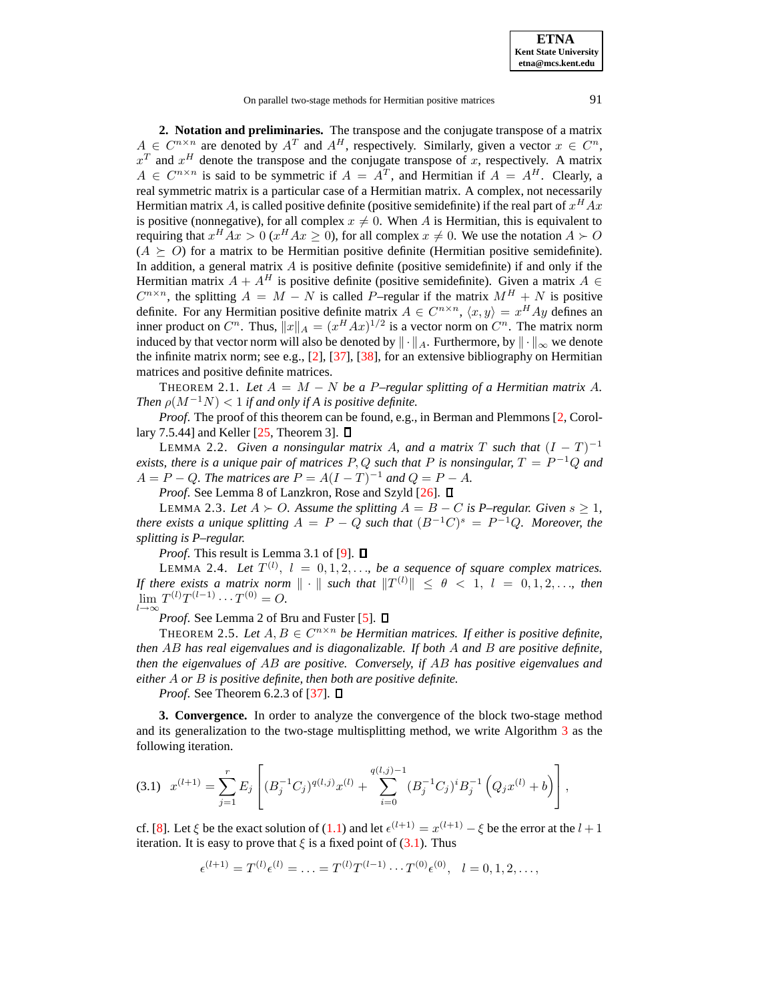On parallel two-stage methods for Hermitian positive matrices 91

<span id="page-3-1"></span>**2. Notation and preliminaries.** The transpose and the conjugate transpose of a matrix  $A \in C^{n \times n}$  are denoted by  $A^T$  and  $A^H$ , respectively. Similarly, given a vector  $x \in C^n$ ,  $x<sup>T</sup>$  and  $x<sup>H</sup>$  denote the transpose and the conjugate transpose of x, respectively. A matrix  $A \in C^{n \times n}$  is said to be symmetric if  $A = A^T$ , and Hermitian if  $A = A^H$ . Clearly, a real symmetric matrix is a particular case of a Hermitian matrix. A complex, not necessarily Hermitian matrix A, is called positive definite (positive semidefinite) if the real part of  $x^H A x$ is positive (nonnegative), for all complex  $x \neq 0$ . When A is Hermitian, this is equivalent to requiring that  $x^H Ax > 0$  ( $x^H Ax \ge 0$ ), for all complex  $x \ne 0$ . We use the notation  $A \succ O$  $(A \succeq O)$  for a matrix to be Hermitian positive definite (Hermitian positive semidefinite). In addition, a general matrix  $\vec{A}$  is positive definite (positive semidefinite) if and only if the Hermitian matrix  $A + A^H$  is positive definite (positive semidefinite). Given a matrix  $A \in$  $C^{n \times n}$ , the splitting  $A = M - N$  is called P–regular if the matrix  $M^H + N$  is positive definite. For any Hermitian positive definite matrix  $A \in C^{n \times n}$ ,  $\langle x, y \rangle = x^H A y$  defines an inner product on  $C^n$ . Thus,  $||x||_A = (x^H A x)^{1/2}$  is a vector norm on  $C^n$ . The matrix norm induced by that vector norm will also be denoted by  $\|\cdot\|_A$ . Furthermore, by  $\|\cdot\|_{\infty}$  we denote the infinite matrix norm; see e.g.,  $[2]$ ,  $[37]$ ,  $[38]$ , for an extensive bibliography on Hermitian matrices and positive definite matrices.

<span id="page-3-4"></span>THEOREM 2.1. Let  $A = M - N$  be a P–regular splitting of a Hermitian matrix A. *Then*  $\rho(M^{-1}N) < 1$  *if and only if A is positive definite.* 

<span id="page-3-5"></span>*Proof.* The proof of this theorem can be found, e.g., in Berman and Plemmons [\[2,](#page-19-0) Corollary 7.5.44] and Keller  $[25,$  Theorem 3].  $\Box$ 

LEMMA 2.2. *Given a nonsingular matrix A, and a matrix* T such that  $(I - T)^{-1}$ *exists, there is a unique pair of matrices* P, Q *such that* P *is nonsingular,* T = P <sup>−</sup><sup>1</sup>Q *and*  $A = P - Q$ . The matrices are  $P = A(I - T)^{-1}$  and  $Q = P - A$ .

*Proof.* See Lemma 8 of Lanzkron, Rose and Szyld [\[26\]](#page-20-4).  $\Box$ 

<span id="page-3-6"></span>LEMMA 2.3. Let  $A$  ≻ O. Assume the splitting  $A = B - C$  is P–regular. Given  $s ≥ 1$ , *there exists a unique splitting*  $A = P - Q$  *such that*  $(B^{-1}C)^s = P^{-1}Q$ *. Moreover, the splitting is P–regular.*

*Proof.* This result is Lemma 3.1 of [\[9\]](#page-19-7).  $\Box$ 

<span id="page-3-3"></span>LEMMA 2.4. Let  $T^{(l)}$ ,  $l = 0, 1, 2, \ldots$ , be a sequence of square complex matrices. *If there exists a matrix norm*  $\|\cdot\|$  *such that*  $\|T^{(l)}\| \leq \theta < 1$ ,  $l = 0, 1, 2, \ldots$ , *then*  $\lim_{l \to \infty} T^{(l)} T^{(l-1)} \cdots T^{(0)} = O.$ 

*Proof.* See Lemma 2 of Bru and Fuster [\[5\]](#page-19-8).  $\Box$ 

<span id="page-3-7"></span>THEOREM 2.5. Let  $A, B \in C^{n \times n}$  be Hermitian matrices. If either is positive definite, *then* AB *has real eigenvalues and is diagonalizable. If both* A *and* B *are positive definite, then the eigenvalues of* AB *are positive. Conversely, if* AB *has positive eigenvalues and either* A *or* B *is positive definite, then both are positive definite.*

*Proof.* See Theorem 6.2.3 of [\[37\]](#page-20-1).  $\Box$ 

<span id="page-3-0"></span>**3. Convergence.** In order to analyze the convergence of the block two-stage method and its generalization to the two-stage multisplitting method, we write Algorithm [3](#page-2-1) as the following iteration.

<span id="page-3-2"></span>
$$
(3.1) \t x^{(l+1)} = \sum_{j=1}^{r} E_j \left[ (B_j^{-1} C_j)^{q(l,j)} x^{(l)} + \sum_{i=0}^{q(l,j)-1} (B_j^{-1} C_j)^i B_j^{-1} \left( Q_j x^{(l)} + b \right) \right],
$$

cf. [\[8\]](#page-19-3). Let  $\xi$  be the exact solution of [\(1.1\)](#page-0-0) and let  $\epsilon^{(l+1)} = x^{(l+1)} - \xi$  be the error at the  $l + 1$ iteration. It is easy to prove that  $\xi$  is a fixed point of [\(3.1\)](#page-3-2). Thus

 $\epsilon^{(l+1)} = T^{(l)} \epsilon^{(l)} = \ldots = T^{(l)} T^{(l-1)} \cdots T^{(0)} \epsilon^{(0)}, \quad l = 0, 1, 2, \ldots,$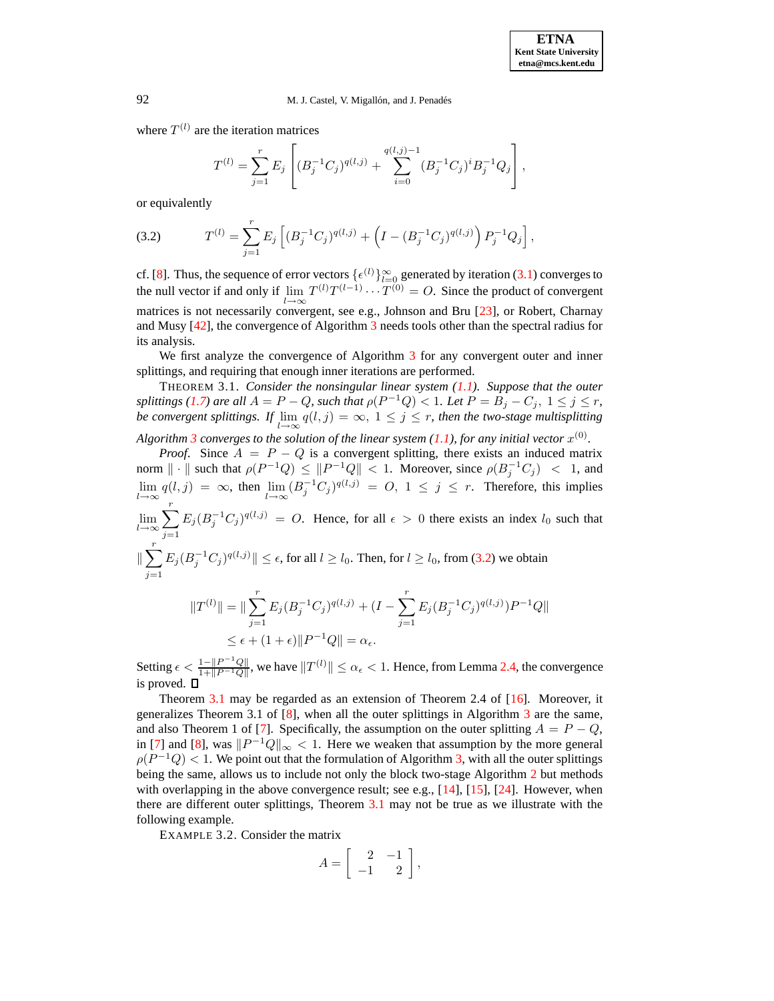where  $T^{(l)}$  are the iteration matrices

$$
T^{(l)} = \sum_{j=1}^{r} E_j \left[ (B_j^{-1} C_j)^{q(l,j)} + \sum_{i=0}^{q(l,j)-1} (B_j^{-1} C_j)^{i} B_j^{-1} Q_j \right],
$$

or equivalently

<span id="page-4-0"></span>(3.2) 
$$
T^{(l)} = \sum_{j=1}^{r} E_j \left[ (B_j^{-1} C_j)^{q(l,j)} + \left( I - (B_j^{-1} C_j)^{q(l,j)} \right) P_j^{-1} Q_j \right],
$$

cf. [\[8\]](#page-19-3). Thus, the sequence of error vectors  $\{\epsilon^{(l)}\}_{l=0}^{\infty}$  generated by iteration [\(3.1\)](#page-3-2) converges to the null vector if and only if  $\lim_{l \to \infty} T^{(l)} T^{(l-1)} \cdots T^{(0)} = O$ . Since the product of convergent matrices is not necessarily convergent, see e.g., Johnson and Bru [\[23\]](#page-20-17), or Robert, Charnay and Musy [\[42\]](#page-20-18), the convergence of Algorithm [3](#page-2-1) needs tools other than the spectral radius for its analysis.

<span id="page-4-1"></span>We first analyze the convergence of Algorithm [3](#page-2-1) for any convergent outer and inner splittings, and requiring that enough inner iterations are performed.

THEOREM 3.1. *Consider the nonsingular linear system [\(1.1\)](#page-0-0). Suppose that the outer splittings* [\(1.7\)](#page-1-3) are all  $A = P - Q$ , such that  $\rho(P^{-1}Q) < 1$ . Let  $P = B_j - C_j$ ,  $1 \leq j \leq r$ , *be convergent splittings. If*  $\lim_{l\to\infty} q(l,j) = \infty$ ,  $1 \leq j \leq r$ , *then the two-stage multisplitting* 

Algorithm [3](#page-2-1) converges to the solution of the linear system  $(1.1)$ , for any initial vector  $x^{(0)}$ .

*Proof.* Since  $A = P - Q$  is a convergent splitting, there exists an induced matrix norm  $\|\cdot\|$  such that  $\rho(P^{-1}Q) \leq \|P^{-1}Q\| < 1$ . Moreover, since  $\rho(B_j^{-1}C_j) < 1$ , and  $\lim_{l\to\infty} q(l,j) = \infty$ , then  $\lim_{l\to\infty} (B_j^{-1}C_j)^{q(l,j)} = O, 1 \le j \le r$ . Therefore, this implies  $\lim_{l\to\infty}\sum_{r=1}^{r}$ 

 $j=1$  $E_j (B_j^{-1} C_j)^{q(l,j)} = O$ . Hence, for all  $\epsilon > 0$  there exists an index  $l_0$  such that

$$
\|\sum_{j=1}^r E_j (B_j^{-1} C_j)^{q(l,j)}\| \le \epsilon, \text{ for all } l \ge l_0. \text{ Then, for } l \ge l_0, \text{ from (3.2) we obtain}
$$

$$
||T^{(l)}|| = ||\sum_{j=1}^{r} E_j (B_j^{-1} C_j)^{q(l,j)} + (I - \sum_{j=1}^{r} E_j (B_j^{-1} C_j)^{q(l,j)}) P^{-1} Q||
$$
  

$$
\leq \epsilon + (1 + \epsilon) ||P^{-1}Q|| = \alpha_{\epsilon}.
$$

Setting  $\epsilon < \frac{1 - ||P^{-1}Q||}{1 + ||P^{-1}Q||}$  $\frac{1 - \|P^{-1}Q\|}{1 + \|P^{-1}Q\|}$ , we have  $||T^{(l)}|| \le \alpha_{\epsilon} < 1$ . Hence, from Lemma [2.4,](#page-3-3) the convergence is proved.

Theorem [3.1](#page-4-1) may be regarded as an extension of Theorem 2.4 of [\[16\]](#page-19-1). Moreover, it generalizes Theorem [3](#page-2-1).1 of  $[8]$ , when all the outer splittings in Algorithm 3 are the same, and also Theorem 1 of [\[7\]](#page-19-9). Specifically, the assumption on the outer splitting  $A = P - Q$ , in [\[7\]](#page-19-9) and [\[8\]](#page-19-3), was  $||P^{-1}Q||_{\infty} < 1$ . Here we weaken that assumption by the more general  $\rho(P^{-1}Q)$  < 1. We point out that the formulation of Algorithm [3,](#page-2-1) with all the outer splittings being the same, allows us to include not only the block two-stage Algorithm [2](#page-1-4) but methods with overlapping in the above convergence result; see e.g.,  $[14]$ ,  $[15]$ ,  $[24]$ . However, when there are different outer splittings, Theorem [3.1](#page-4-1) may not be true as we illustrate with the following example.

EXAMPLE 3.2. Consider the matrix

$$
A = \left[ \begin{array}{rr} 2 & -1 \\ -1 & 2 \end{array} \right],
$$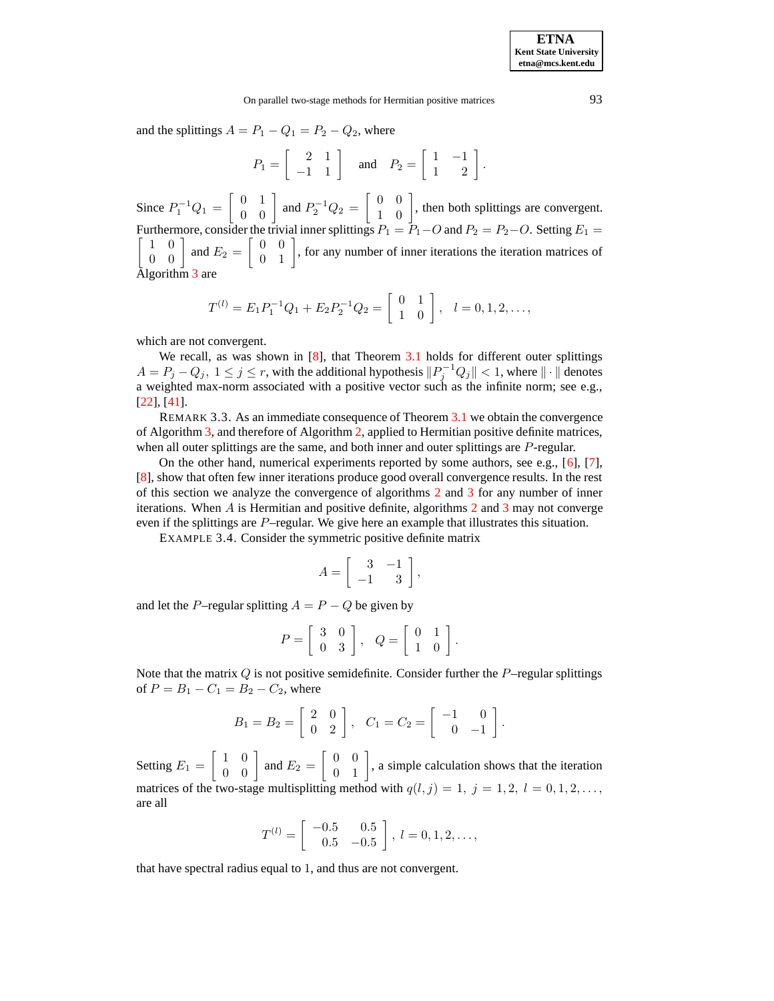and the splittings  $A = P_1 - Q_1 = P_2 - Q_2$ , where

$$
P_1 = \left[ \begin{array}{rr} 2 & 1 \\ -1 & 1 \end{array} \right] \quad \text{and} \quad P_2 = \left[ \begin{array}{rr} 1 & -1 \\ 1 & 2 \end{array} \right].
$$

Since  $P_1^{-1}Q_1 = \begin{bmatrix} 0 & 1 \\ 0 & 0 \end{bmatrix}$ 0 0 and  $P_2^{-1}Q_2 = \begin{bmatrix} 0 & 0 \\ 1 & 0 \end{bmatrix}$ 1 0 , then both splittings are convergent. Furthermore,  $\lceil$ consider the trivial inner splittings  $P_1 = \overline{P_1 - Q}$  and  $P_2 = P_2 - Q$ . Setting  $E_1 =$ 1 0 0 0 and  $E_2 = \begin{bmatrix} 0 & 0 \\ 0 & 1 \end{bmatrix}$ 0 1 , for any number of inner iterations the iteration matrices of Algorithm [3](#page-2-1) are

$$
T^{(l)} = E_1 P_1^{-1} Q_1 + E_2 P_2^{-1} Q_2 = \begin{bmatrix} 0 & 1 \\ 1 & 0 \end{bmatrix}, \quad l = 0, 1, 2, \dots,
$$

which are not convergent.

We recall, as was shown in [\[8\]](#page-19-3), that Theorem [3.1](#page-4-1) holds for different outer splittings  $A=P_j-Q_j,\ 1\leq j\leq r,$  with the additional hypothesis  $\|P_j^{-1}Q_j\|< 1,$  where  $\|\cdot\|$  denotes a weighted max-norm associated with a positive vector such as the infinite norm; see e.g., [\[22\]](#page-20-20), [\[41\]](#page-20-21).

REMARK 3.3. As an immediate consequence of Theorem [3.1](#page-4-1) we obtain the convergence of Algorithm [3,](#page-2-1) and therefore of Algorithm [2,](#page-1-4) applied to Hermitian positive definite matrices, when all outer splittings are the same, and both inner and outer splittings are P-regular.

<span id="page-5-1"></span>On the other hand, numerical experiments reported by some authors, see e.g., [\[6\]](#page-19-2), [\[7\]](#page-19-9), [\[8\]](#page-19-3), show that often few inner iterations produce good overall convergence results. In the rest of this section we analyze the convergence of algorithms [2](#page-1-4) and [3](#page-2-1) for any number of inner iterations. When  $A$  is Hermitian and positive definite, algorithms [2](#page-1-4) and [3](#page-2-1) may not converge even if the splittings are  $P$ –regular. We give here an example that illustrates this situation.

EXAMPLE 3.4. Consider the symmetric positive definite matrix

$$
A = \left[ \begin{array}{rr} 3 & -1 \\ -1 & 3 \end{array} \right],
$$

and let the P–regular splitting  $A = P - Q$  be given by

$$
P = \left[ \begin{array}{cc} 3 & 0 \\ 0 & 3 \end{array} \right], \quad Q = \left[ \begin{array}{cc} 0 & 1 \\ 1 & 0 \end{array} \right].
$$

Note that the matrix  $Q$  is not positive semidefinite. Consider further the  $P$ –regular splittings of  $P = B_1 - C_1 = B_2 - C_2$ , where

$$
B_1 = B_2 = \left[ \begin{array}{cc} 2 & 0 \\ 0 & 2 \end{array} \right], \quad C_1 = C_2 = \left[ \begin{array}{cc} -1 & 0 \\ 0 & -1 \end{array} \right].
$$

Setting  $E_1 = \begin{bmatrix} 1 & 0 \\ 0 & 0 \end{bmatrix}$ 0 0 and  $E_2 = \begin{bmatrix} 0 & 0 \\ 0 & 1 \end{bmatrix}$ 0 1 , a simple calculation shows that the iteration matrices of the two-stage multisplitting method with  $q(l, j) = 1, j = 1, 2, l = 0, 1, 2, \ldots$ are all

$$
T^{(l)} = \begin{bmatrix} -0.5 & 0.5 \\ 0.5 & -0.5 \end{bmatrix}, l = 0, 1, 2, \dots,
$$

<span id="page-5-0"></span>that have spectral radius equal to 1, and thus are not convergent.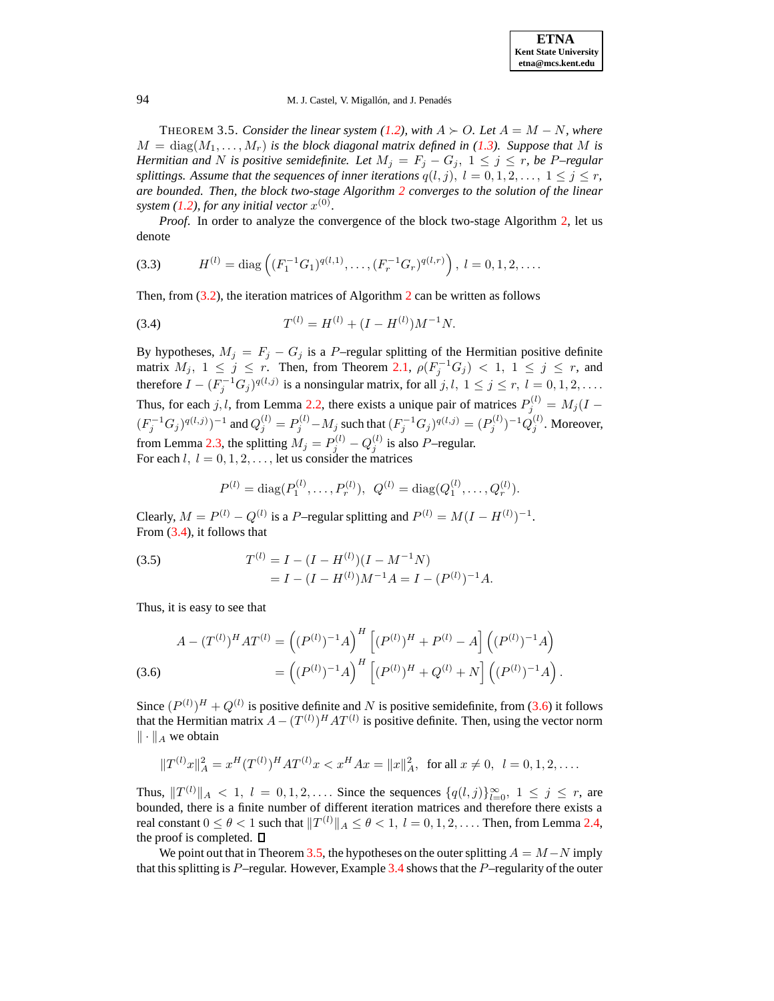THEOREM 3.5. *Consider the linear system [\(1.2\)](#page-0-1), with*  $A \succ O$ . Let  $A = M - N$ *, where*  $M = \text{diag}(M_1, \ldots, M_r)$  *is the block diagonal matrix defined in* [\(1.3\)](#page-0-2)*. Suppose that* M *is Hermitian and* N *is positive semidefinite. Let*  $M_j = F_j - G_j$ ,  $1 \leq j \leq r$ , *be* P–regular *splittings. Assume that the sequences of inner iterations*  $q(l, j)$ ,  $l = 0, 1, 2, ..., 1 \leq j \leq r$ , *are bounded. Then, the block two-stage Algorithm [2](#page-1-4) converges to the solution of the linear system* [\(1.2\)](#page-0-1), for any initial vector  $x^{(0)}$ .

*Proof*. In order to analyze the convergence of the block two-stage Algorithm [2,](#page-1-4) let us denote

<span id="page-6-3"></span>(3.3) 
$$
H^{(l)} = \text{diag}\left((F_1^{-1}G_1)^{q(l,1)}, \ldots, (F_r^{-1}G_r)^{q(l,r)}\right), \ l = 0, 1, 2, \ldots.
$$

Then, from [\(3.2\)](#page-4-0), the iteration matrices of Algorithm [2](#page-1-4) can be written as follows

<span id="page-6-0"></span>(3.4) 
$$
T^{(l)} = H^{(l)} + (I - H^{(l)})M^{-1}N.
$$

By hypotheses,  $M_j = F_j - G_j$  is a P–regular splitting of the Hermitian positive definite matrix  $M_j$ ,  $1 \leq j \leq r$ . Then, from Theorem [2.1,](#page-3-4)  $\rho(F_j^{-1}G_j) < 1$ ,  $1 \leq j \leq r$ , and therefore  $I - (F_j^{-1}G_j)^{q(l,j)}$  is a nonsingular matrix, for all  $j, l, 1 \le j \le r, l = 0, 1, 2, \ldots$ . Thus, for each j, l, from Lemma [2.2,](#page-3-5) there exists a unique pair of matrices  $P_j^{(l)} = M_j (I - )$  $(F_j^{-1}G_j)^{q(l,j)})^{-1}$  and  $Q_j^{(l)} = P_j^{(l)} - M_j$  such that  $(F_j^{-1}G_j)^{q(l,j)} = (P_j^{(l)})^{-1}Q_j^{(l)}$ . Moreover, from Lemma [2.3,](#page-3-6) the splitting  $M_j = P_j^{(l)} - Q_j^{(l)}$  is also P-regular. For each  $l, l = 0, 1, 2, \ldots$ , let us consider the matrices

$$
P^{(l)} = \text{diag}(P_1^{(l)}, \dots, P_r^{(l)}), \ \ Q^{(l)} = \text{diag}(Q_1^{(l)}, \dots, Q_r^{(l)}).
$$

Clearly,  $M = P^{(l)} - Q^{(l)}$  is a P-regular splitting and  $P^{(l)} = M(I - H^{(l)})^{-1}$ . From [\(3.4\)](#page-6-0), it follows that

<span id="page-6-2"></span>(3.5) 
$$
T^{(l)} = I - (I - H^{(l)})(I - M^{-1}N) = I - (I - H^{(l)})M^{-1}A = I - (P^{(l)})^{-1}A.
$$

Thus, it is easy to see that

<span id="page-6-1"></span>
$$
A - (T^{(l)})^H A T^{(l)} = ((P^{(l)})^{-1} A)^H [(P^{(l)})^H + P^{(l)} - A] ((P^{(l)})^{-1} A)
$$
  
(3.6)
$$
= ((P^{(l)})^{-1} A)^H [(P^{(l)})^H + Q^{(l)} + N] ((P^{(l)})^{-1} A).
$$

Since  $(P^{(l)})^H + Q^{(l)}$  is positive definite and N is positive semidefinite, from [\(3.6\)](#page-6-1) it follows that the Hermitian matrix  $A - (T^{(l)})^H A T^{(l)}$  is positive definite. Then, using the vector norm  $\|\cdot\|_A$  we obtain

$$
||T^{(l)}x||_A^2 = x^H (T^{(l)})^H A T^{(l)} x < x^H A x = ||x||_A^2, \text{ for all } x \neq 0, l = 0, 1, 2, \dots
$$

Thus,  $||T^{(l)}||_A < 1$ ,  $l = 0, 1, 2, \ldots$  Since the sequences  $\{q(l,j)\}_{l=0}^{\infty}$ ,  $1 \le j \le r$ , are bounded, there is a finite number of different iteration matrices and therefore there exists a real constant  $0\leq \theta < 1$  such that  $\|T^{(l)}\|_{A}\leq \theta < 1,~l=0,1,2,\ldots.$  Then, from Lemma [2.4,](#page-3-3) the proof is completed.  $\Box$ 

We point out that in Theorem [3.5,](#page-5-0) the hypotheses on the outer splitting  $A = M - N$  imply that this splitting is  $P$ –regular. However, Example [3.4](#page-5-1) shows that the  $P$ –regularity of the outer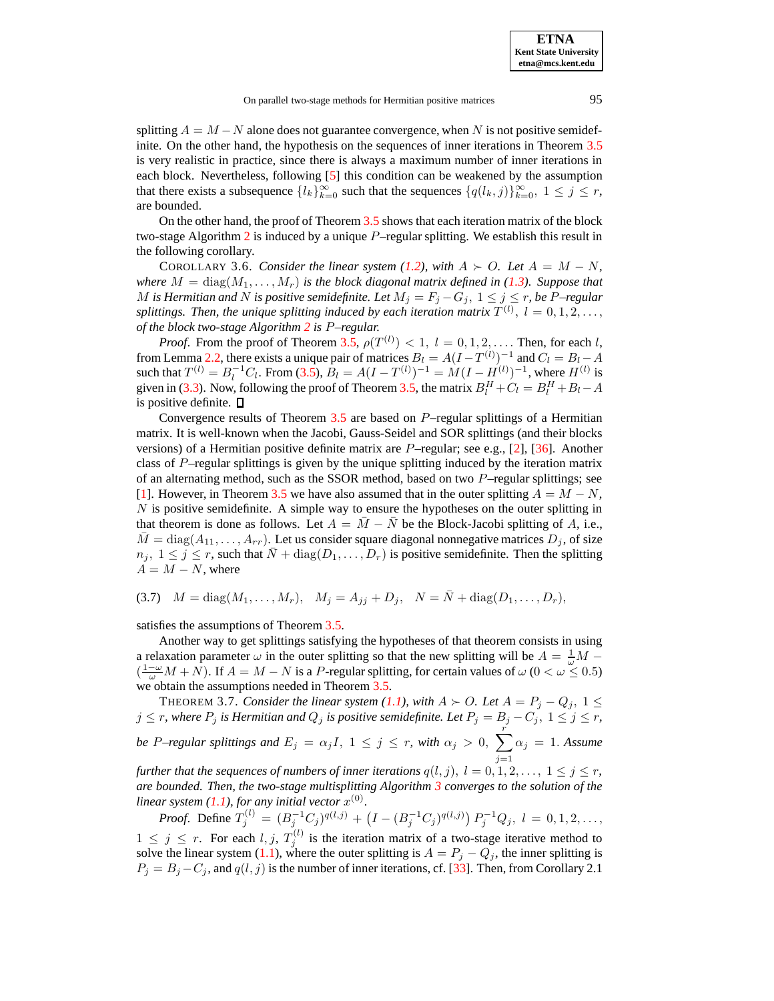splitting  $A = M - N$  alone does not guarantee convergence, when N is not positive semidefinite. On the other hand, the hypothesis on the sequences of inner iterations in Theorem [3.5](#page-5-0) is very realistic in practice, since there is always a maximum number of inner iterations in each block. Nevertheless, following [\[5\]](#page-19-8) this condition can be weakened by the assumption that there exists a subsequence  $\{l_k\}_{k=0}^{\infty}$  such that the sequences  $\{q(l_k,j)\}_{k=0}^{\infty}$ ,  $1 \le j \le r$ , are bounded.

On the other hand, the proof of Theorem [3.5](#page-5-0) shows that each iteration matrix of the block two-stage Algorithm [2](#page-1-4) is induced by a unique P–regular splitting. We establish this result in the following corollary.

<span id="page-7-1"></span>COROLLARY 3.6. *Consider the linear system* [\(1.2\)](#page-0-1), with  $A \succ O$ . Let  $A = M - N$ , *where*  $M = diag(M_1, \ldots, M_r)$  *is the block diagonal matrix defined in* [\(1.3\)](#page-0-2)*. Suppose that M* is *Hermitian and N* is positive semidefinite. Let  $M_j = F_j - G_j$ ,  $1 \leq j \leq r$ , be P–regular *splittings. Then, the unique splitting induced by each iteration matrix*  $T^{(l)}$ *,*  $l = 0, 1, 2, \ldots$ *, of the block two-stage Algorithm [2](#page-1-4) is* P*–regular.*

*Proof.* From the proof of Theorem [3.5,](#page-5-0)  $\rho(T^{(l)}) < 1$ ,  $l = 0, 1, 2, \ldots$  Then, for each l, from Lemma [2.2,](#page-3-5) there exists a unique pair of matrices  $B_l = A(I - T^{(l)})^{-1}$  and  $C_l = B_l - A$ such that  $T^{(l)} = B_l^{-1}C_l$ . From [\(3.5\)](#page-6-2),  $B_l = A(I - T^{(l)})^{-1} = M(I - H^{(l)})^{-1}$ , where  $H^{(l)}$  is given in [\(3.3\)](#page-6-3). Now, following the proof of Theorem [3.5,](#page-5-0) the matrix  $B_l^H + C_l = B_l^H + B_l - A_l^H$ is positive definite.  $\square$ 

Convergence results of Theorem [3.5](#page-5-0) are based on P–regular splittings of a Hermitian matrix. It is well-known when the Jacobi, Gauss-Seidel and SOR splittings (and their blocks versions) of a Hermitian positive definite matrix are P–regular; see e.g., [\[2\]](#page-19-0), [\[36\]](#page-20-22). Another class of P–regular splittings is given by the unique splitting induced by the iteration matrix of an alternating method, such as the SSOR method, based on two  $P$ –regular splittings; see [\[1\]](#page-19-12). However, in Theorem [3.5](#page-5-0) we have also assumed that in the outer splitting  $A = M - N$ ,  $N$  is positive semidefinite. A simple way to ensure the hypotheses on the outer splitting in that theorem is done as follows. Let  $A = \overline{M} - \overline{N}$  be the Block-Jacobi splitting of A, i.e.,  $\bar{M} = \text{diag}(A_{11}, \ldots, A_{rr})$ . Let us consider square diagonal nonnegative matrices  $D_j$ , of size  $n_j, 1 \leq j \leq r$ , such that  $\bar{N} + \text{diag}(D_1, \ldots, D_r)$  is positive semidefinite. Then the splitting  $A = M - N$ , where

<span id="page-7-2"></span>(3.7)  $M = \text{diag}(M_1, \ldots, M_r), \quad M_j = A_{jj} + D_j, \quad N = \bar{N} + \text{diag}(D_1, \ldots, D_r),$ 

satisfies the assumptions of Theorem [3.5.](#page-5-0)

Another way to get splittings satisfying the hypotheses of that theorem consists in using a relaxation parameter  $\omega$  in the outer splitting so that the new splitting will be  $A = \frac{1}{\omega}M (\frac{1-\omega}{\omega}M+N)$ . If  $A = M - N$  is a P-regular splitting, for certain values of  $\omega$  ( $0 < \omega \leq 0.5$ ) we obtain the assumptions needed in Theorem [3.5.](#page-5-0)

<span id="page-7-0"></span>**THEOREM 3.7.** *Consider the linear system* [\(1.1\)](#page-0-0), with  $A \succ O$ . Let  $A = P_j - Q_j$ ,  $1 \leq$  $j \leq r$ , where  $P_j$  is Hermitian and  $Q_j$  is positive semidefinite. Let  $P_j = B_j - C_j,~1 \leq j \leq r,$ 

*be* P–regular splittings and  $E_j = \alpha_j I$ ,  $1 \leq j \leq r$ , with  $\alpha_j > 0$ ,  $\sum_{j=1}^{r}$  $j=1$  $\alpha_j = 1$ . *Assume* 

*further that the sequences of numbers of inner iterations*  $q(l, j)$ ,  $l = 0, 1, 2, ..., 1 \leq j \leq r$ , *are bounded. Then, the two-stage multisplitting Algorithm [3](#page-2-1) converges to the solution of the linear system* [\(1.1\)](#page-0-0), for any *initial* vector  $x^{(0)}$ .

*Proof.* Define  $T_j^{(l)} = (B_j^{-1}C_j)^{q(l,j)} + (I - (B_j^{-1}C_j)^{q(l,j)}) P_j^{-1}Q_j$ ,  $l = 0, 1, 2, \ldots$ ,  $1 \leq j \leq r$ . For each  $l, j, T_j^{(l)}$  is the iteration matrix of a two-stage iterative method to solve the linear system [\(1.1\)](#page-0-0), where the outer splitting is  $A = P_j - Q_j$ , the inner splitting is  $P_j = B_j - C_j$ , and  $q(l, j)$  is the number of inner iterations, cf. [\[33\]](#page-20-6). Then, from Corollary 2.1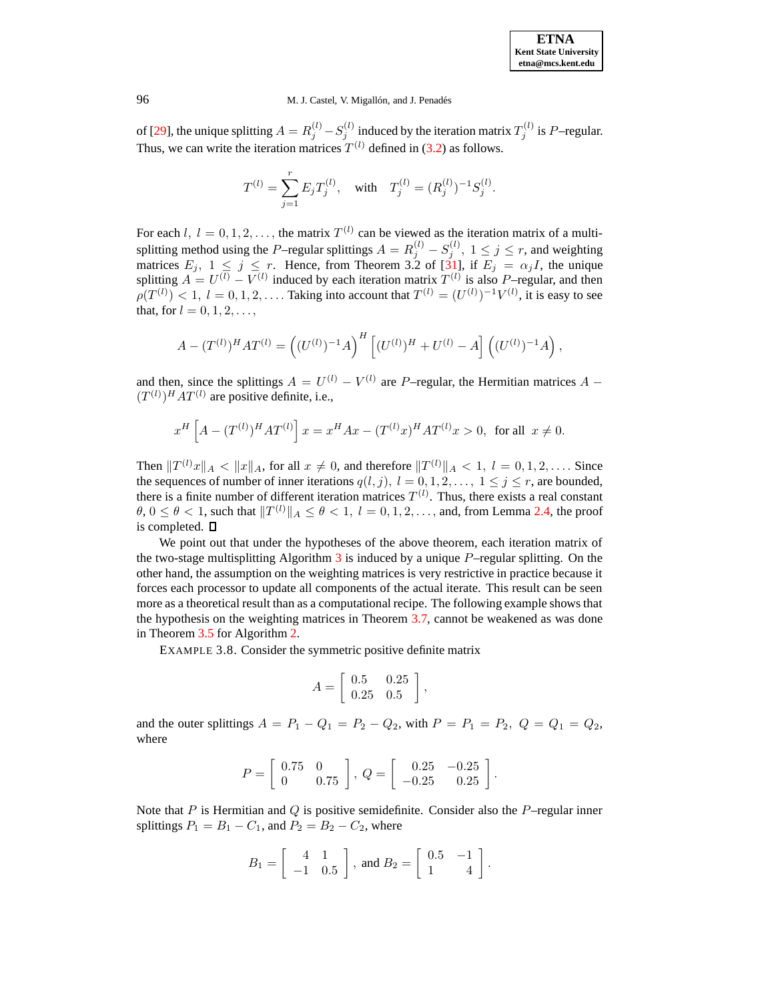of [\[29\]](#page-20-5), the unique splitting  $A = R_j^{(l)} - S_j^{(l)}$  induced by the iteration matrix  $T_j^{(l)}$  is P-regular. Thus, we can write the iteration matrices  $T^{(l)}$  defined in [\(3.2\)](#page-4-0) as follows.

$$
T^{(l)} = \sum_{j=1}^{r} E_j T_j^{(l)}, \text{ with } T_j^{(l)} = (R_j^{(l)})^{-1} S_j^{(l)}.
$$

For each  $l, l = 0, 1, 2, \ldots$ , the matrix  $T^{(l)}$  can be viewed as the iteration matrix of a multisplitting method using the P–regular splittings  $A = R_j^{(l)} - S_j^{(l)}$ ,  $1 \le j \le r$ , and weighting matrices  $E_j$ ,  $1 \leq j \leq r$ . Hence, from Theorem 3.2 of [\[31\]](#page-20-23), if  $E_j = \alpha_j I$ , the unique splitting  $A = U^{(l)} - V^{(l)}$  induced by each iteration matrix  $T^{(l)}$  is also P-regular, and then  $\rho(T^{(l)}) < 1, l = 0, 1, 2, \ldots$  Taking into account that  $T^{(l)} = (U^{(l)})^{-1}V^{(l)}$ , it is easy to see that, for  $l = 0, 1, 2, ...,$ 

$$
A - (T^{(l)})^H A T^{(l)} = ((U^{(l)})^{-1} A)^H [(U^{(l)})^H + U^{(l)} - A] ((U^{(l)})^{-1} A),
$$

and then, since the splittings  $A = U^{(l)} - V^{(l)}$  are P-regular, the Hermitian matrices  $A$  –  $(T^{(l)})^H A T^{(l)}$  are positive definite, i.e.,

$$
x^H \left[ A - (T^{(l)})^H A T^{(l)} \right] x = x^H A x - (T^{(l)} x)^H A T^{(l)} x > 0, \text{ for all } x \neq 0.
$$

Then  $||T^{(l)}x||_A < ||x||_A$ , for all  $x \neq 0$ , and therefore  $||T^{(l)}||_A < 1$ ,  $l = 0, 1, 2, \ldots$ . Since the sequences of number of inner iterations  $q(l, j)$ ,  $l = 0, 1, 2, \ldots, 1 \le j \le r$ , are bounded, there is a finite number of different iteration matrices  $T^{(l)}$ . Thus, there exists a real constant  $\theta$ ,  $0 \le \theta < 1$ , such that  $||T^{(l)}||_A \le \theta < 1$ ,  $l = 0, 1, 2, \dots$ , and, from Lemma [2.4,](#page-3-3) the proof is completed.

We point out that under the hypotheses of the above theorem, each iteration matrix of the two-stage multisplitting Algorithm  $3$  is induced by a unique  $P$ –regular splitting. On the other hand, the assumption on the weighting matrices is very restrictive in practice because it forces each processor to update all components of the actual iterate. This result can be seen more as a theoretical result than as a computational recipe. The following example shows that the hypothesis on the weighting matrices in Theorem [3.7,](#page-7-0) cannot be weakened as was done in Theorem [3.5](#page-5-0) for Algorithm [2.](#page-1-4)

EXAMPLE 3.8. Consider the symmetric positive definite matrix

$$
A = \left[ \begin{array}{cc} 0.5 & 0.25 \\ 0.25 & 0.5 \end{array} \right],
$$

and the outer splittings  $A = P_1 - Q_1 = P_2 - Q_2$ , with  $P = P_1 = P_2$ ,  $Q = Q_1 = Q_2$ , where

$$
P = \left[ \begin{array}{cc} 0.75 & 0 \\ 0 & 0.75 \end{array} \right], \ Q = \left[ \begin{array}{cc} 0.25 & -0.25 \\ -0.25 & 0.25 \end{array} \right].
$$

Note that P is Hermitian and Q is positive semidefinite. Consider also the P–regular inner splittings  $P_1 = B_1 - C_1$ , and  $P_2 = B_2 - C_2$ , where

$$
B_1 = \left[ \begin{array}{rr} 4 & 1 \\ -1 & 0.5 \end{array} \right], \text{ and } B_2 = \left[ \begin{array}{rr} 0.5 & -1 \\ 1 & 4 \end{array} \right].
$$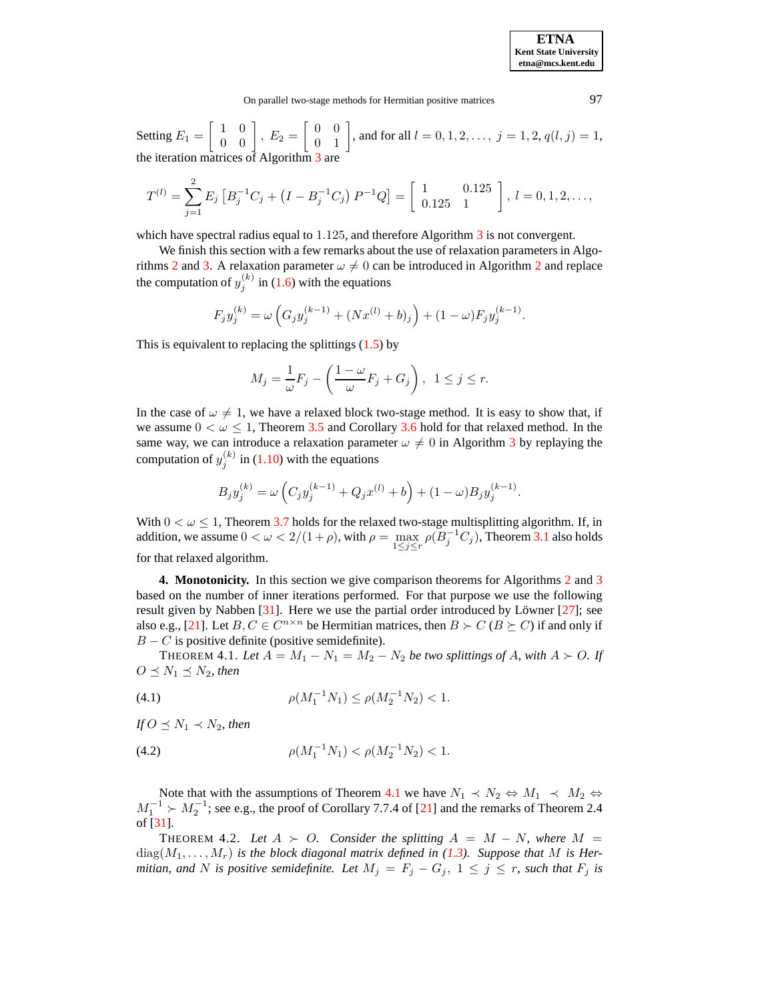Setting  $E_1 = \begin{bmatrix} 1 & 0 \\ 0 & 0 \end{bmatrix}$ 0 0  $\Bigg\}, E_2 = \left[ \begin{array}{cc} 0 & 0 \\ 0 & 1 \end{array} \right]$ 0 1 , and for all  $l = 0, 1, 2, \dots, j = 1, 2, q(l, j) = 1$ , the iteration matrices of Algorithm [3](#page-2-1) are

$$
T^{(l)} = \sum_{j=1}^{2} E_j \left[ B_j^{-1} C_j + \left( I - B_j^{-1} C_j \right) P^{-1} Q \right] = \begin{bmatrix} 1 & 0.125 \\ 0.125 & 1 \end{bmatrix}, \ l = 0, 1, 2, \ldots,
$$

which have spectral radius equal to 1.125, and therefore Algorithm [3](#page-2-1) is not convergent.

We finish this section with a few remarks about the use of relaxation parameters in Algo-rithms [2](#page-1-4) and [3.](#page-2-1) A relaxation parameter  $\omega \neq 0$  can be introduced in Algorithm 2 and replace the computation of  $y_j^{(k)}$  in [\(1.6\)](#page-1-5) with the equations

$$
F_j y_j^{(k)} = \omega \left( G_j y_j^{(k-1)} + (Nx^{(l)} + b)_j \right) + (1 - \omega) F_j y_j^{(k-1)}.
$$

This is equivalent to replacing the splittings  $(1.5)$  by

$$
M_j = \frac{1}{\omega} F_j - \left(\frac{1-\omega}{\omega} F_j + G_j\right), \ \ 1 \le j \le r.
$$

In the case of  $\omega \neq 1$ , we have a relaxed block two-stage method. It is easy to show that, if we assume  $0 < \omega \leq 1$ , Theorem [3.5](#page-5-0) and Corollary [3.6](#page-7-1) hold for that relaxed method. In the same way, we can introduce a relaxation parameter  $\omega \neq 0$  in Algorithm [3](#page-2-1) by replaying the computation of  $y_j^{(k)}$  in [\(1.10\)](#page-2-2) with the equations

$$
B_j y_j^{(k)} = \omega \left( C_j y_j^{(k-1)} + Q_j x^{(l)} + b \right) + (1 - \omega) B_j y_j^{(k-1)}.
$$

With  $0 < \omega \leq 1$ , Theorem [3.7](#page-7-0) holds for the relaxed two-stage multisplitting algorithm. If, in addition, we assume  $0 < \omega < 2/(1+\rho)$ , with  $\rho = \max_{1 \le j \le r} \rho(B_j^{-1}C_j)$ , Theorem [3.1](#page-4-1) also holds for that relaxed algorithm.

<span id="page-9-0"></span>**4. Monotonicity.** In this section we give comparison theorems for Algorithms [2](#page-1-4) and [3](#page-2-1) based on the number of inner iterations performed. For that purpose we use the following result given by Nabben  $[31]$ . Here we use the partial order introduced by Löwner  $[27]$ ; see also e.g., [\[21\]](#page-20-25). Let  $B, C \in C^{n \times n}$  be Hermitian matrices, then  $B \succ C$  ( $B \succeq C$ ) if and only if  $B - C$  is positive definite (positive semidefinite).

<span id="page-9-1"></span>THEOREM 4.1. Let  $A = M_1 - N_1 = M_2 - N_2$  be two splittings of A, with  $A \succ O$ . If  $O \leq N_1 \leq N_2$ , *then* 

(4.1) 
$$
\rho(M_1^{-1}N_1) \le \rho(M_2^{-1}N_2) < 1.
$$

*If*  $O \leq N_1 \prec N_2$ *, then* 

$$
(4.2) \t\t \rho(M_1^{-1}N_1) < \rho(M_2^{-1}N_2) < 1.
$$

Note that with the assumptions of Theorem [4.1](#page-9-1) we have  $N_1 \prec N_2 \Leftrightarrow M_1 \prec M_2 \Leftrightarrow$  $M_1^{-1}$   $\succ M_2^{-1}$ ; see e.g., the proof of Corollary 7.7.4 of [\[21\]](#page-20-25) and the remarks of Theorem 2.4 of [\[31\]](#page-20-23).

<span id="page-9-2"></span>THEOREM 4.2. Let  $A \succ O$ . Consider the splitting  $A = M - N$ , where  $M =$  $diag(M_1, \ldots, M_r)$  *is the block diagonal matrix defined in [\(1.3\)](#page-0-2). Suppose that* M *is Hermitian,* and N is positive semidefinite. Let  $M_j = F_j - G_j$ ,  $1 \le j \le r$ , such that  $F_j$  is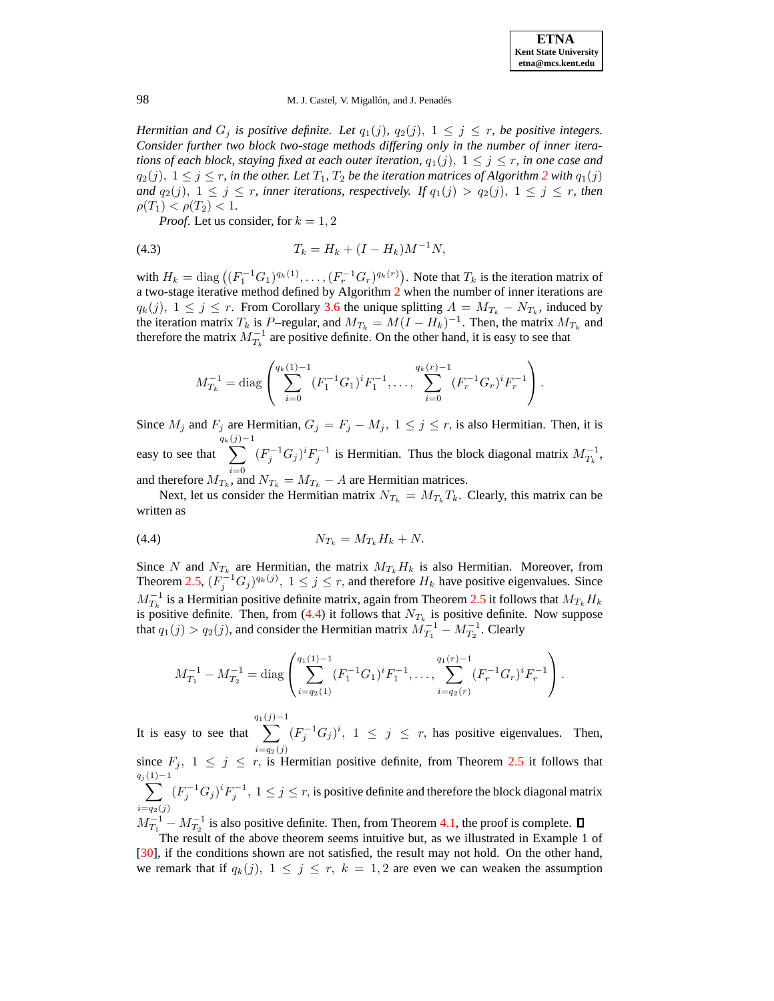

*Hermitian and*  $G_j$  *is positive definite. Let*  $q_1(j)$ ,  $q_2(j)$ ,  $1 \leq j \leq r$ , *be positive integers. Consider further two block two-stage methods differing only in the number of inner iterations of each block, staying fixed at each outer iteration,*  $q_1(j)$ ,  $1 \leq j \leq r$ *, in one case and*  $q_2(j)$  $q_2(j)$  $q_2(j)$ ,  $1 \leq j \leq r$ , *in the other. Let*  $T_1$ ,  $T_2$  *be the iteration matrices of Algorithm 2 with*  $q_1(j)$ *and*  $q_2(j)$ ,  $1 \leq j \leq r$ , *inner iterations*, *respectively.* If  $q_1(j) > q_2(j)$ ,  $1 \leq j \leq r$ , *then*  $\rho(T_1) < \rho(T_2) < 1.$ 

*Proof.* Let us consider, for  $k = 1, 2$ 

$$
(4.3) \t\t T_k = H_k + (I - H_k)M^{-1}N,
$$

with  $H_k = \text{diag}((F_1^{-1}G_1)^{q_k(1)}, \dots, (F_r^{-1}G_r)^{q_k(r)})$ . Note that  $T_k$  is the iteration matrix of a two-stage iterative method defined by Algorithm  $2$  when the number of inner iterations are  $q_k(j)$ ,  $1 \le j \le r$ . From Corollary [3.6](#page-7-1) the unique splitting  $A = M_{T_k} - N_{T_k}$ , induced by the iteration matrix  $T_k$  is P-regular, and  $M_{T_k} = M(I - H_k)^{-1}$ . Then, the matrix  $M_{T_k}$  and therefore the matrix  $M_{T_k}^{-1}$  are positive definite. On the other hand, it is easy to see that

$$
M_{T_k}^{-1} = \text{diag}\left(\sum_{i=0}^{q_k(1)-1} (F_1^{-1}G_1)^i F_1^{-1}, \dots, \sum_{i=0}^{q_k(r)-1} (F_r^{-1}G_r)^i F_r^{-1}\right).
$$

Since  $M_j$  and  $F_j$  are Hermitian,  $G_j = F_j - M_j$ ,  $1 \le j \le r$ , is also Hermitian. Then, it is easy to see that  $q_k$  $\sum$  $(j)$ −1  $i=0$  $(F_j^{-1}G_j)^iF_j^{-1}$  is Hermitian. Thus the block diagonal matrix  $M_{T_k}^{-1}$ ,

and therefore  $M_{T_k}$ , and  $N_{T_k} = M_{T_k} - A$  are Hermitian matrices.

Next, let us consider the Hermitian matrix  $N_{T_k} = M_{T_k} T_k$ . Clearly, this matrix can be written as

<span id="page-10-0"></span>
$$
(4.4) \t\t N_{T_k} = M_{T_k} H_k + N.
$$

Since N and  $N_{T_k}$  are Hermitian, the matrix  $M_{T_k}H_k$  is also Hermitian. Moreover, from Theorem [2.5,](#page-3-7)  $(F_j^{-1}G_j)^{q_k(j)}, 1 \le j \le r$ , and therefore  $H_k$  have positive eigenvalues. Since  $M_{T_k}^{-1}$  is a Hermitian positive definite matrix, again from Theorem [2.5](#page-3-7) it follows that  $M_{T_k}H_k$ is positive definite. Then, from [\(4.4\)](#page-10-0) it follows that  $N_{T_k}$  is positive definite. Now suppose that  $q_1(j) > q_2(j)$ , and consider the Hermitian matrix  $M_{T_1}^{-1} - M_{T_2}^{-1}$ . Clearly

$$
M_{T_1}^{-1} - M_{T_2}^{-1} = \text{diag}\left(\sum_{i=q_2(1)}^{q_1(1)-1} (F_1^{-1}G_1)^i F_1^{-1}, \dots, \sum_{i=q_2(r)}^{q_1(r)-1} (F_r^{-1}G_r)^i F_r^{-1}\right).
$$

It is easy to see that  $q_1$  $\sum$  $(j)$ −1  $i=q_2(j)$  $(F_j^{-1}G_j)^i$ ,  $1 \leq j \leq r$ , has positive eigenvalues. Then, since  $F_j$ ,  $1 \leq j \leq r$ , is Hermitian positive definite, from Theorem [2.5](#page-3-7) it follows that

 $q_j$  $\sum$  $(1)-1$  $i=q_2(j)$  $(F_j^{-1}G_j)^iF_j^{-1}, 1 \le j \le r$ , is positive definite and therefore the block diagonal matrix

 $M_{T_1}^{-1} - M_{T_2}^{-1}$  is also positive definite. Then, from Theorem [4.1,](#page-9-1) the proof is complete.

The result of the above theorem seems intuitive but, as we illustrated in Example 1 of [\[30\]](#page-20-26), if the conditions shown are not satisfied, the result may not hold. On the other hand, we remark that if  $q_k(j)$ ,  $1 \leq j \leq r$ ,  $k = 1, 2$  are even we can weaken the assumption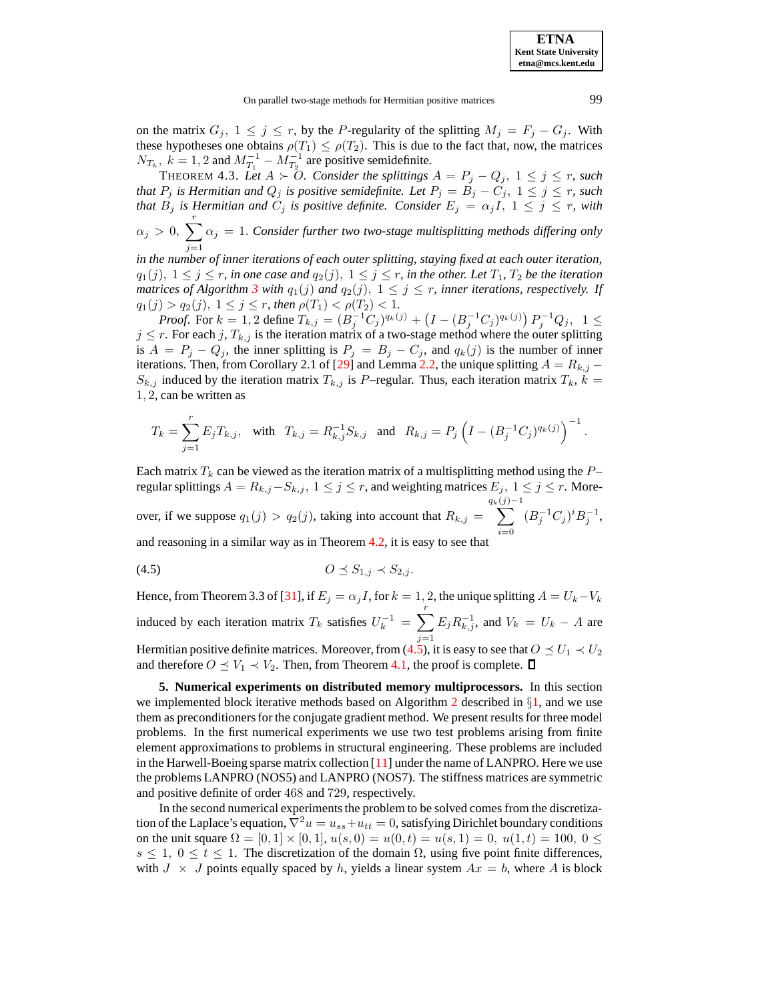on the matrix  $G_j$ ,  $1 \leq j \leq r$ , by the P-regularity of the splitting  $M_j = F_j - G_j$ . With these hypotheses one obtains  $\rho(T_1) \leq \rho(T_2)$ . This is due to the fact that, now, the matrices  $N_{T_k}$ ,  $k = 1, 2$  and  $M_{T_1}^{-1} - M_{T_2}^{-1}$  are positive semidefinite.

THEOREM 4.3. Let  $A \succ 0$ . Consider the splittings  $A = P_j - Q_j$ ,  $1 \le j \le r$ , such *that*  $P_j$  *is Hermitian and*  $Q_j$  *is positive semidefinite. Let*  $P_j = B_j - C_j$ ,  $1 \leq j \leq r$ , *such that*  $B_j$  *is Hermitian and*  $C_j$  *is positive definite. Consider*  $E_j = \alpha_j I$ ,  $1 \leq j \leq r$ , *with*  $\alpha_j > 0$ ,  $\sum_{i=1}^{r} \alpha_j = 1$ . *Consider further two two-stage multisplitting methods differing only*  $j=1$ 

*in the number of inner iterations of each outer splitting, staying fixed at each outer iteration,*  $q_1(j), 1 \leq j \leq r$ , *in one case and*  $q_2(j), 1 \leq j \leq r$ , *in the other. Let*  $T_1, T_2$  *be the iteration matrices of Algorithm* [3](#page-2-1) *with*  $q_1(j)$  *and*  $q_2(j)$ ,  $1 \leq j \leq r$ , *inner iterations, respectively. If*  $q_1(j) > q_2(j), 1 \leq j \leq r$ , then  $\rho(T_1) < \rho(T_2) < 1$ .

*Proof.* For  $k = 1, 2$  define  $T_{k,j} = (B_j^{-1}C_j)^{q_k(j)} + (I - (B_j^{-1}C_j)^{q_k(j)}) P_j^{-1}Q_j$ ,  $1 \leq j \leq j$  $j \leq r$ . For each  $j$ ,  $T_{k,j}$  is the iteration matrix of a two-stage method where the outer splitting is  $A = P_j - Q_j$ , the inner splitting is  $P_j = B_j - C_j$ , and  $q_k(j)$  is the number of inner iterations. Then, from Corollary 2.1 of [\[29\]](#page-20-5) and Lemma [2.2,](#page-3-5) the unique splitting  $A = R_{k,j}$  –  $S_{k,j}$  induced by the iteration matrix  $T_{k,j}$  is P–regular. Thus, each iteration matrix  $T_k$ ,  $k =$ 1, 2, can be written as

$$
T_k = \sum_{j=1}^r E_j T_{k,j}, \quad \text{with} \quad T_{k,j} = R_{k,j}^{-1} S_{k,j} \quad \text{and} \quad R_{k,j} = P_j \left(I - (B_j^{-1} C_j)^{q_k(j)}\right)^{-1}.
$$

Each matrix  $T_k$  can be viewed as the iteration matrix of a multisplitting method using the  $P$ regular splittings  $A = R_{k,j} - S_{k,j}$ ,  $1 \le j \le r$ , and weighting matrices  $E_j$ ,  $1 \le j \le r$ . Moreover, if we suppose  $q_1(j) > q_2(j)$ , taking into account that  $R_{k,j} =$  $q_k$  $\sum$  $(j)$ −1  $i=0$  $(B_j^{-1}C_j)^i B_j^{-1},$ and reasoning in a similar way as in Theorem [4.2,](#page-9-2) it is easy to see that

<span id="page-11-1"></span>
$$
(4.5) \t\t\t\t O \preceq S_{1,j} \prec S_{2,j}.
$$

Hence, from Theorem 3.3 of [\[31\]](#page-20-23), if  $E_j = \alpha_j I$ , for  $k = 1, 2$ , the unique splitting  $A = U_k - V_k$ induced by each iteration matrix  $T_k$  satisfies  $U_k^{-1} = \sum_{k=1}^{r}$  $j=1$  $E_j R_{k,j}^{-1}$ , and  $V_k = U_k - A$  are Hermitian positive definite matrices. Moreover, from [\(4.5\)](#page-11-1), it is easy to see that  $O \leq U_1 \prec U_2$ 

and therefore  $O \leq V_1 \prec V_2$ . Then, from Theorem [4.1,](#page-9-1) the proof is complete.  $\square$ 

<span id="page-11-0"></span>**5. Numerical experiments on distributed memory multiprocessors.** In this section we implemented block iterative methods based on Algorithm [2](#page-1-4) described in  $\S1$ , and we use them as preconditionersfor the conjugate gradient method. We present results for three model problems. In the first numerical experiments we use two test problems arising from finite element approximations to problems in structural engineering. These problems are included in the Harwell-Boeing sparse matrix collection  $[11]$  under the name of LANPRO. Here we use the problems LANPRO (NOS5) and LANPRO (NOS7). The stiffness matrices are symmetric and positive definite of order 468 and 729, respectively.

In the second numerical experiments the problem to be solved comes from the discretization of the Laplace's equation,  $\nabla^2 u = u_{ss} + u_{tt} = 0$ , satisfying Dirichlet boundary conditions on the unit square  $\Omega = [0, 1] \times [0, 1]$ ,  $u(s, 0) = u(0, t) = u(s, 1) = 0$ ,  $u(1, t) = 100$ ,  $0 \le$  $s \leq 1$ ,  $0 \leq t \leq 1$ . The discretization of the domain  $\Omega$ , using five point finite differences, with  $J \times J$  points equally spaced by h, yields a linear system  $Ax = b$ , where A is block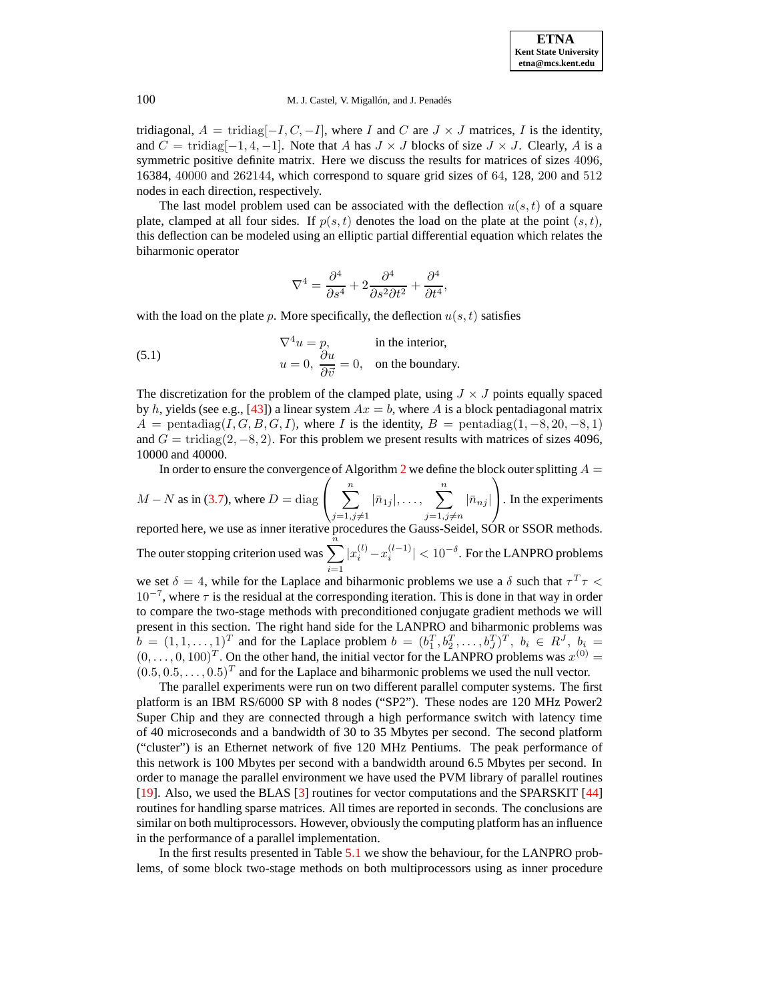tridiagonal,  $A = \text{tridiag}[-I, C, -I]$ , where I and C are  $J \times J$  matrices, I is the identity, and  $C = \text{tridiag}[-1, 4, -1]$ . Note that A has  $J \times J$  blocks of size  $J \times J$ . Clearly, A is a symmetric positive definite matrix. Here we discuss the results for matrices of sizes 4096, 16384, 40000 and 262144, which correspond to square grid sizes of 64, 128, 200 and 512 nodes in each direction, respectively.

The last model problem used can be associated with the deflection  $u(s, t)$  of a square plate, clamped at all four sides. If  $p(s,t)$  denotes the load on the plate at the point  $(s,t)$ , this deflection can be modeled using an elliptic partial differential equation which relates the biharmonic operator

$$
\nabla^4 = \frac{\partial^4}{\partial s^4} + 2 \frac{\partial^4}{\partial s^2 \partial t^2} + \frac{\partial^4}{\partial t^4},
$$

with the load on the plate p. More specifically, the deflection  $u(s,t)$  satisfies

(5.1) 
$$
\nabla^4 u = p, \quad \text{in the interior,}
$$

$$
u = 0, \frac{\partial u}{\partial \vec{v}} = 0, \quad \text{on the boundary.}
$$

The discretization for the problem of the clamped plate, using  $J \times J$  points equally spaced by h, yields (see e.g., [\[43\]](#page-20-27)) a linear system  $Ax = b$ , where A is a block pentadiagonal matrix  $A =$  pentadiag(I, G, B, G, I), where I is the identity,  $B =$  pentadiag(1, -8, 20, -8, 1) and  $G = \text{tridiag}(2, -8, 2)$ . For this problem we present results with matrices of sizes 4096, 10000 and 40000.

In order to ensure the convergence of Algorithm [2](#page-1-4) we define the block outer splitting  $A =$ 

$$
M - N
$$
 as in (3.7), where  $D = \text{diag}\left(\sum_{j=1, j\neq 1}^{n} |\bar{n}_{1j}|, \dots, \sum_{j=1, j\neq n}^{n} |\bar{n}_{nj}| \right)$ . In the experiments reported here, we use as inner iterative procedures the Gauss-Seidel, SOR or SSOR methods.

The outer stopping criterion used was  $\sum_{n=1}^{\overline{n}}$  $i=1$  $|x_i^{(l)} - x_i^{(l-1)}| < 10^{-\delta}$ . For the LANPRO problems

we set  $\delta = 4$ , while for the Laplace and biharmonic problems we use a  $\delta$  such that  $\tau^T \tau$  $10^{-7}$ , where  $\tau$  is the residual at the corresponding iteration. This is done in that way in order to compare the two-stage methods with preconditioned conjugate gradient methods we will present in this section. The right hand side for the LANPRO and biharmonic problems was  $b = (1, 1, \ldots, 1)^T$  and for the Laplace problem  $b = (b_1^T, b_2^T, \ldots, b_J^T)^T$ ,  $b_i \in R^J$ ,  $b_i =$  $(0, \ldots, 0, 100)^T$ . On the other hand, the initial vector for the LANPRO problems was  $x^{(0)} =$  $(0.5, 0.5, \ldots, 0.5)^T$  and for the Laplace and biharmonic problems we used the null vector.

The parallel experiments were run on two different parallel computer systems. The first platform is an IBM RS/6000 SP with 8 nodes ("SP2"). These nodes are 120 MHz Power2 Super Chip and they are connected through a high performance switch with latency time of 40 microseconds and a bandwidth of 30 to 35 Mbytes per second. The second platform ("cluster") is an Ethernet network of five 120 MHz Pentiums. The peak performance of this network is 100 Mbytes per second with a bandwidth around 6.5 Mbytes per second. In order to manage the parallel environment we have used the PVM library of parallel routines [\[19\]](#page-20-28). Also, we used the BLAS [\[3\]](#page-19-14) routines for vector computations and the SPARSKIT [\[44\]](#page-20-29) routines for handling sparse matrices. All times are reported in seconds. The conclusions are similar on both multiprocessors. However, obviously the computing platform has an influence in the performance of a parallel implementation.

In the first results presented in Table [5.1](#page-13-0) we show the behaviour, for the LANPRO problems, of some block two-stage methods on both multiprocessors using as inner procedure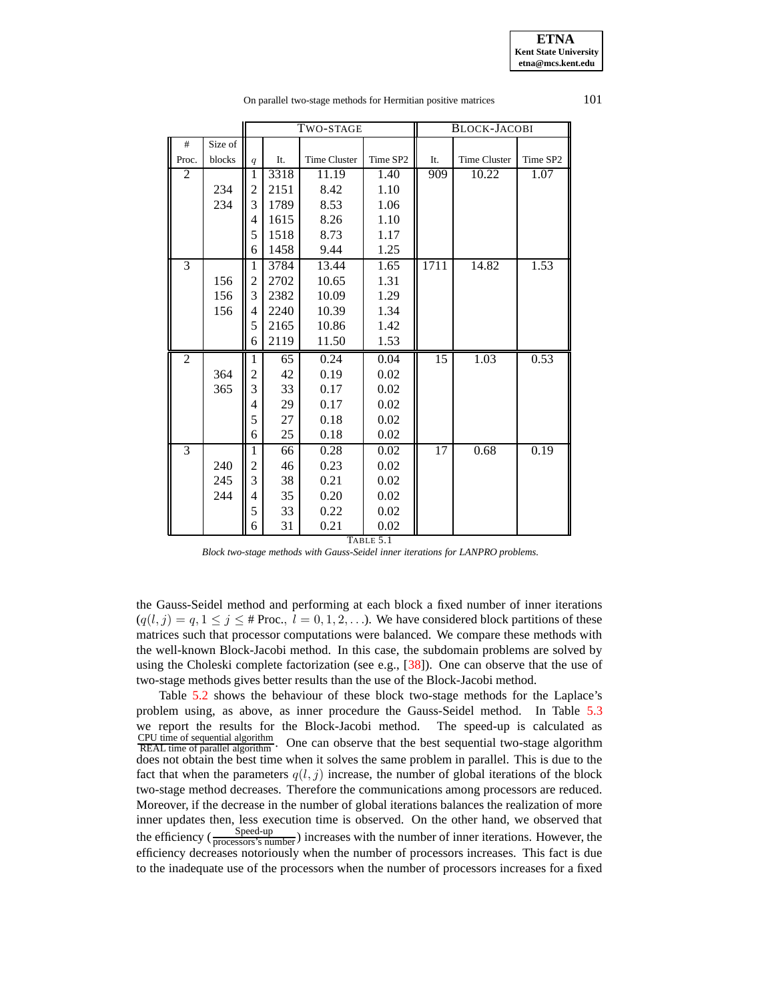TWO-STAGE BLOCK-JACOBI # Size of Proc. blocks  $\|q\|$  It. Time Cluster Time SP2 It. Time Cluster Time SP2 2 | ||1|3318| 11.19 | 1.40 || 909| 10.22 | 1.07 234 | 2 | 2151 | 8.42 | 1.10 234 3 1789 8.53 1.06 4 | 1615 | 8.26 | 1.10 5 1518 8.73 1.17 6 1458 9.44 1.25 3 1 3784 13.44 1.65 1711 14.82 1.53 156 | 2 | 2702 | 10.65 | 1.31 156 3 2382 10.09 1.29 156 4 2240 10.39 1.34 5 2165 10.86 1.42 6 2119 11.50 1.53 2 | ||1| 65 | 0.24 | 0.04 || 15 || 1.03 | 0.53  $\begin{array}{c|c|c|c|c|c} 364 & 2 & 42 & 0.19 & 0.02 \\ 365 & 3 & 33 & 0.17 & 0.02 \end{array}$  $365$  || 3 | 33 | 0.17 | 0.02 4 29 0.17 0.02 5 27 0.18 0.02 6 25 0.18 0.02 3 1 66 0.28 0.02 17 0.68 0.19  $240$  || 2 | 46 | 0.23 | 0.02  $245 \parallel 3 \parallel 38 \parallel 0.21 \parallel 0.02$ 244  $\parallel$  4  $\parallel$  35  $\parallel$  0.20  $\parallel$  0.02 5 33 0.22 0.02 6 31 0.21 0.02

On parallel two-stage methods for Hermitian positive matrices 101

TABLE 5.1

*Block two-stage methods with Gauss-Seidel inner iterations for LANPRO problems.*

<span id="page-13-0"></span>the Gauss-Seidel method and performing at each block a fixed number of inner iterations  $(q(l, j) = q, 1 \leq j \leq \text{\# Proc.}, l = 0, 1, 2, \ldots)$ . We have considered block partitions of these matrices such that processor computations were balanced. We compare these methods with the well-known Block-Jacobi method. In this case, the subdomain problems are solved by using the Choleski complete factorization (see e.g.,  $[38]$ ). One can observe that the use of two-stage methods gives better results than the use of the Block-Jacobi method.

Table [5.2](#page-22-0) shows the behaviour of these block two-stage methods for the Laplace's problem using, as above, as inner procedure the Gauss-Seidel method. In Table [5.3](#page-22-1) we report the results for the Block-Jacobi method. The speed-up is calculated as CPU time of sequential algorithm REAL time of parallel algorithm . One can observe that the best sequential two-stage algorithm does not obtain the best time when it solves the same problem in parallel. This is due to the fact that when the parameters  $q(l, j)$  increase, the number of global iterations of the block two-stage method decreases. Therefore the communications among processors are reduced. Moreover, if the decrease in the number of global iterations balances the realization of more inner updates then, less execution time is observed. On the other hand, we observed that the efficiency ( $\frac{\text{Speed-up}}{\text{processors's number}}$ ) increases with the number of inner iterations. However, the efficiency decreases notoriously when the number of processors increases. This fact is due to the inadequate use of the processors when the number of processors increases for a fixed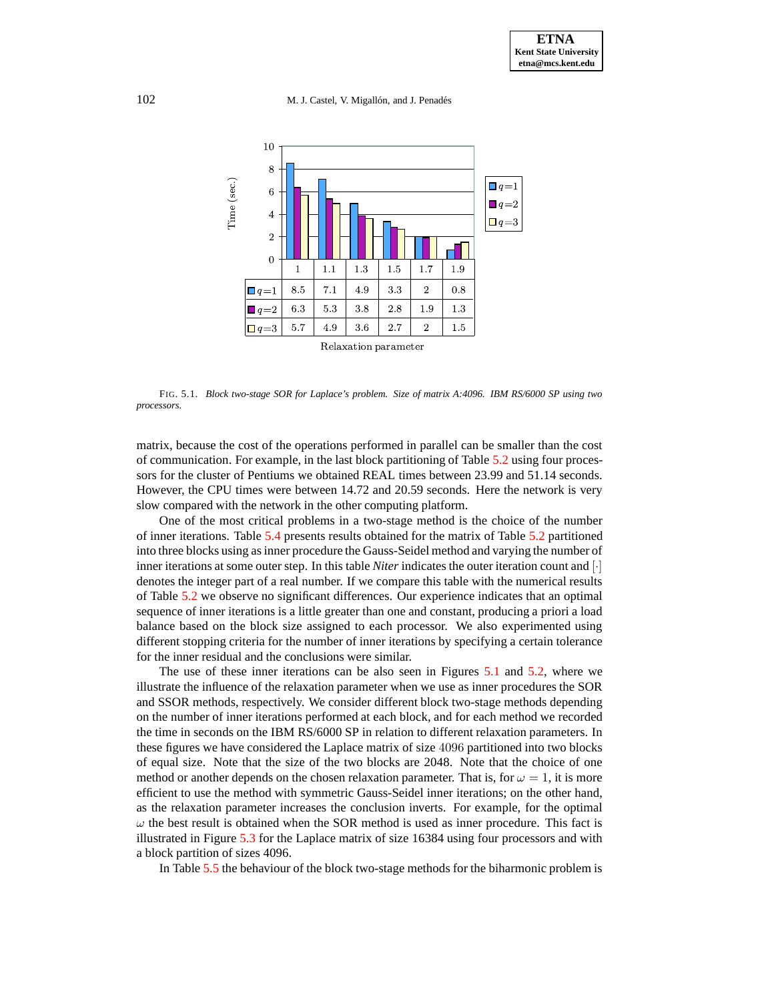102 M. J. Castel, V. Migallón, and J. Penadés



<span id="page-14-0"></span>FIG. 5.1. *Block two-stage SOR for Laplace's problem. Size of matrix A:4096. IBM RS/6000 SP using two processors.*

matrix, because the cost of the operations performed in parallel can be smaller than the cost of communication. For example, in the last block partitioning of Table [5.2](#page-22-0) using four processors for the cluster of Pentiums we obtained REAL times between 23.99 and 51.14 seconds. However, the CPU times were between 14.72 and 20.59 seconds. Here the network is very slow compared with the network in the other computing platform.

One of the most critical problems in a two-stage method is the choice of the number of inner iterations. Table [5.4](#page-22-2) presents results obtained for the matrix of Table [5.2](#page-22-0) partitioned into three blocks using as inner procedure the Gauss-Seidel method and varying the number of inner iterations at some outer step. In this table *Niter* indicates the outer iteration count and [·] denotes the integer part of a real number. If we compare this table with the numerical results of Table [5.2](#page-22-0) we observe no significant differences. Our experience indicates that an optimal sequence of inner iterations is a little greater than one and constant, producing a priori a load balance based on the block size assigned to each processor. We also experimented using different stopping criteria for the number of inner iterations by specifying a certain tolerance for the inner residual and the conclusions were similar.

The use of these inner iterations can be also seen in Figures [5.1](#page-14-0) and [5.2,](#page-15-0) where we illustrate the influence of the relaxation parameter when we use as inner procedures the SOR and SSOR methods, respectively. We consider different block two-stage methods depending on the number of inner iterations performed at each block, and for each method we recorded the time in seconds on the IBM RS/6000 SP in relation to different relaxation parameters. In these figures we have considered the Laplace matrix of size 4096 partitioned into two blocks of equal size. Note that the size of the two blocks are 2048. Note that the choice of one method or another depends on the chosen relaxation parameter. That is, for  $\omega = 1$ , it is more efficient to use the method with symmetric Gauss-Seidel inner iterations; on the other hand, as the relaxation parameter increases the conclusion inverts. For example, for the optimal  $\omega$  the best result is obtained when the SOR method is used as inner procedure. This fact is illustrated in Figure [5.3](#page-15-1) for the Laplace matrix of size 16384 using four processors and with a block partition of sizes 4096.

In Table [5.5](#page-23-0) the behaviour of the block two-stage methods for the biharmonic problem is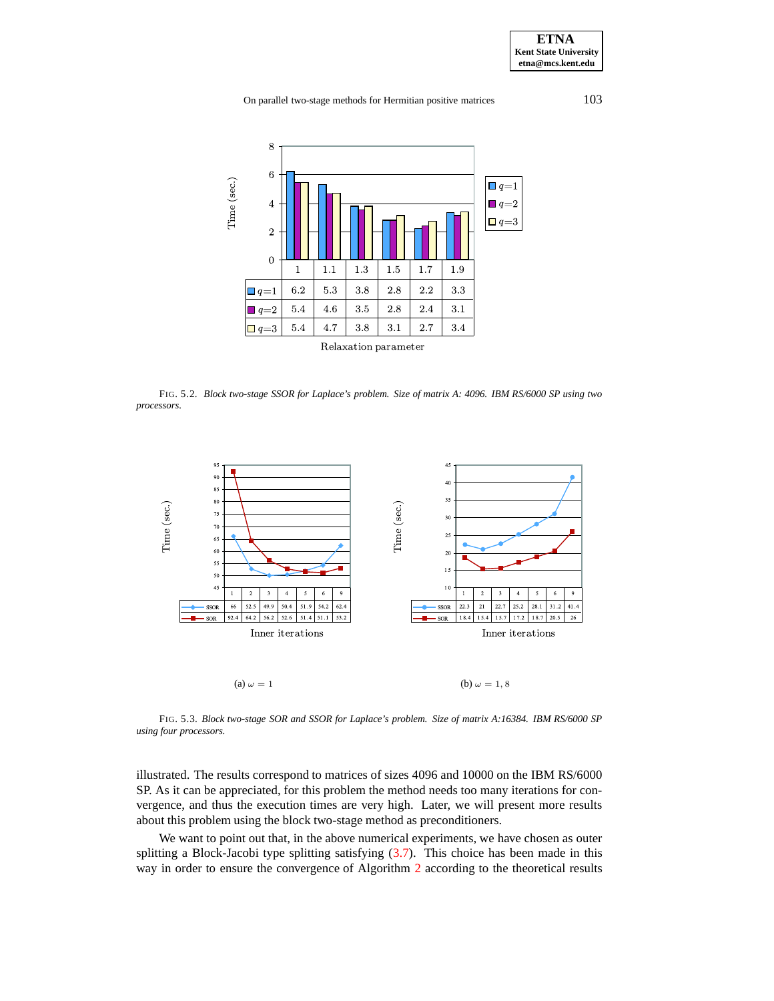On parallel two-stage methods for Hermitian positive matrices 103



<span id="page-15-0"></span>FIG. 5.2. *Block two-stage SSOR for Laplace's problem. Size of matrix A: 4096. IBM RS/6000 SP using two processors.*



<span id="page-15-1"></span>FIG. 5.3. *Block two-stage SOR and SSOR for Laplace's problem. Size of matrix A:16384. IBM RS/6000 SP using four processors.*

illustrated. The results correspond to matrices of sizes 4096 and 10000 on the IBM RS/6000 SP. As it can be appreciated, for this problem the method needs too many iterations for convergence, and thus the execution times are very high. Later, we will present more results about this problem using the block two-stage method as preconditioners.

We want to point out that, in the above numerical experiments, we have chosen as outer splitting a Block-Jacobi type splitting satisfying [\(3.7\)](#page-7-2). This choice has been made in this way in order to ensure the convergence of Algorithm [2](#page-1-4) according to the theoretical results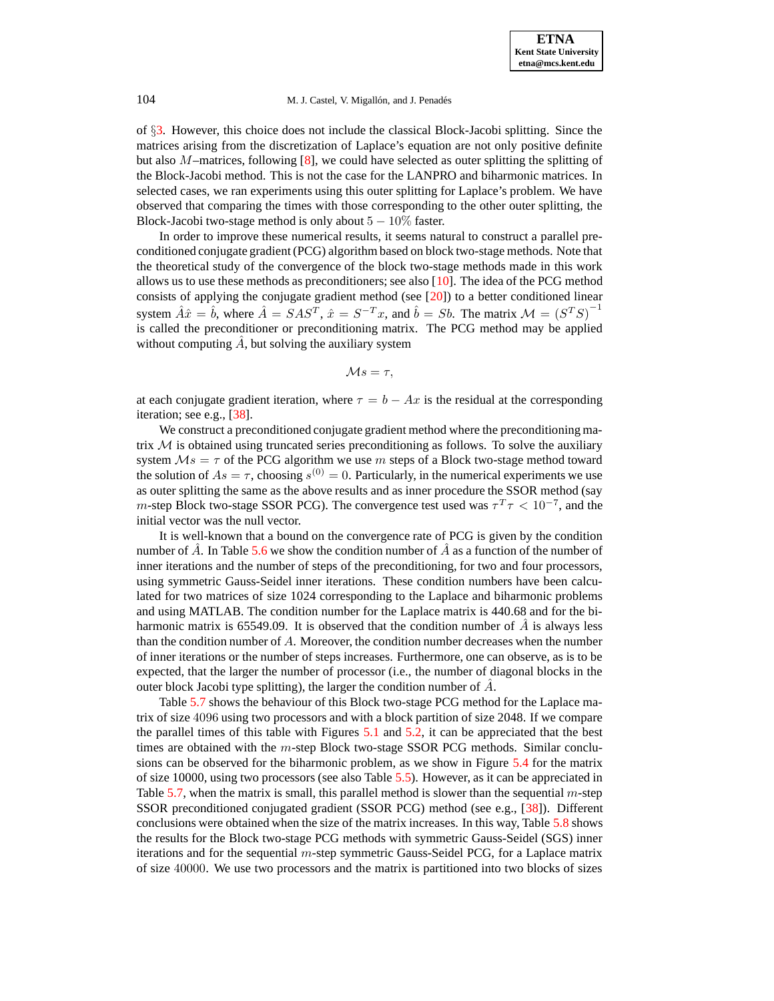of §[3.](#page-3-0) However, this choice does not include the classical Block-Jacobi splitting. Since the matrices arising from the discretization of Laplace's equation are not only positive definite but also M–matrices, following [\[8\]](#page-19-3), we could have selected as outer splitting the splitting of the Block-Jacobi method. This is not the case for the LANPRO and biharmonic matrices. In selected cases, we ran experiments using this outer splitting for Laplace's problem. We have observed that comparing the times with those corresponding to the other outer splitting, the Block-Jacobi two-stage method is only about  $5 - 10\%$  faster.

In order to improve these numerical results, it seems natural to construct a parallel preconditioned conjugate gradient (PCG) algorithm based on block two-stage methods. Note that the theoretical study of the convergence of the block two-stage methods made in this work allows us to use these methods as preconditioners; see also [\[10\]](#page-19-15). The idea of the PCG method consists of applying the conjugate gradient method (see  $[20]$ ) to a better conditioned linear system  $\hat{A}\hat{x} = \hat{b}$ , where  $\hat{A} = SAS^T$ ,  $\hat{x} = S^{-T}x$ , and  $\hat{b} = Sb$ . The matrix  $\mathcal{M} = (S^T S)^{-1}$ is called the preconditioner or preconditioning matrix. The PCG method may be applied without computing  $\hat{A}$ , but solving the auxiliary system

$$
\mathcal{M}s=\tau,
$$

at each conjugate gradient iteration, where  $\tau = b - Ax$  is the residual at the corresponding iteration; see e.g., [\[38\]](#page-20-2).

We construct a preconditioned conjugate gradient method where the preconditioning matrix  $M$  is obtained using truncated series preconditioning as follows. To solve the auxiliary system  $Ms = \tau$  of the PCG algorithm we use m steps of a Block two-stage method toward the solution of  $As = \tau$ , choosing  $s^{(0)} = 0$ . Particularly, in the numerical experiments we use as outer splitting the same as the above results and as inner procedure the SSOR method (say m-step Block two-stage SSOR PCG). The convergence test used was  $\tau^T \tau < 10^{-7}$ , and the initial vector was the null vector.

It is well-known that a bound on the convergence rate of PCG is given by the condition number of A. In Table [5.6](#page-23-1) we show the condition number of A as a function of the number of inner iterations and the number of steps of the preconditioning, for two and four processors, using symmetric Gauss-Seidel inner iterations. These condition numbers have been calculated for two matrices of size 1024 corresponding to the Laplace and biharmonic problems and using MATLAB. The condition number for the Laplace matrix is 440.68 and for the biharmonic matrix is 65549.09. It is observed that the condition number of  $\vec{A}$  is always less than the condition number of  $A$ . Moreover, the condition number decreases when the number of inner iterations or the number of steps increases. Furthermore, one can observe, as is to be expected, that the larger the number of processor (i.e., the number of diagonal blocks in the outer block Jacobi type splitting), the larger the condition number of  $\hat{A}$ .

Table [5.7](#page-24-0) shows the behaviour of this Block two-stage PCG method for the Laplace matrix of size 4096 using two processors and with a block partition of size 2048. If we compare the parallel times of this table with Figures [5.1](#page-14-0) and [5.2,](#page-15-0) it can be appreciated that the best times are obtained with the  $m$ -step Block two-stage SSOR PCG methods. Similar conclusions can be observed for the biharmonic problem, as we show in Figure [5.4](#page-17-0) for the matrix of size 10000, using two processors (see also Table [5.5\)](#page-23-0). However, as it can be appreciated in Table [5.7,](#page-24-0) when the matrix is small, this parallel method is slower than the sequential  $m$ -step SSOR preconditioned conjugated gradient (SSOR PCG) method (see e.g., [\[38\]](#page-20-2)). Different conclusions were obtained when the size of the matrix increases. In this way, Table [5.8](#page-24-1) shows the results for the Block two-stage PCG methods with symmetric Gauss-Seidel (SGS) inner iterations and for the sequential  $m$ -step symmetric Gauss-Seidel PCG, for a Laplace matrix of size 40000. We use two processors and the matrix is partitioned into two blocks of sizes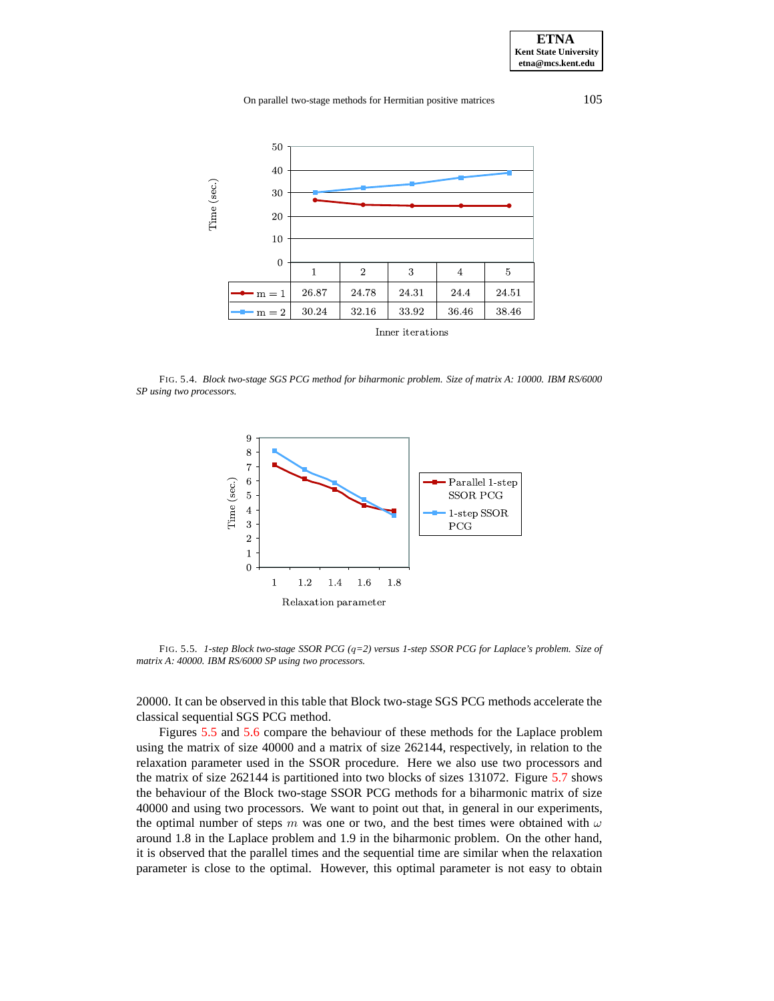On parallel two-stage methods for Hermitian positive matrices 105



<span id="page-17-0"></span>FIG. 5.4. *Block two-stage SGS PCG method for biharmonic problem. Size of matrix A: 10000. IBM RS/6000 SP using two processors.*



<span id="page-17-1"></span>FIG. 5.5. *1-step Block two-stage SSOR PCG (*q*=2) versus 1-step SSOR PCG for Laplace's problem. Size of matrix A: 40000. IBM RS/6000 SP using two processors.*

20000. It can be observed in this table that Block two-stage SGS PCG methods accelerate the classical sequential SGS PCG method.

Figures [5.5](#page-17-1) and [5.6](#page-18-0) compare the behaviour of these methods for the Laplace problem using the matrix of size 40000 and a matrix of size 262144, respectively, in relation to the relaxation parameter used in the SSOR procedure. Here we also use two processors and the matrix of size 262144 is partitioned into two blocks of sizes 131072. Figure [5.7](#page-18-1) shows the behaviour of the Block two-stage SSOR PCG methods for a biharmonic matrix of size 40000 and using two processors. We want to point out that, in general in our experiments, the optimal number of steps m was one or two, and the best times were obtained with  $\omega$ around 1.8 in the Laplace problem and 1.9 in the biharmonic problem. On the other hand, it is observed that the parallel times and the sequential time are similar when the relaxation parameter is close to the optimal. However, this optimal parameter is not easy to obtain

**ETNA Kent State University etna@mcs.kent.edu**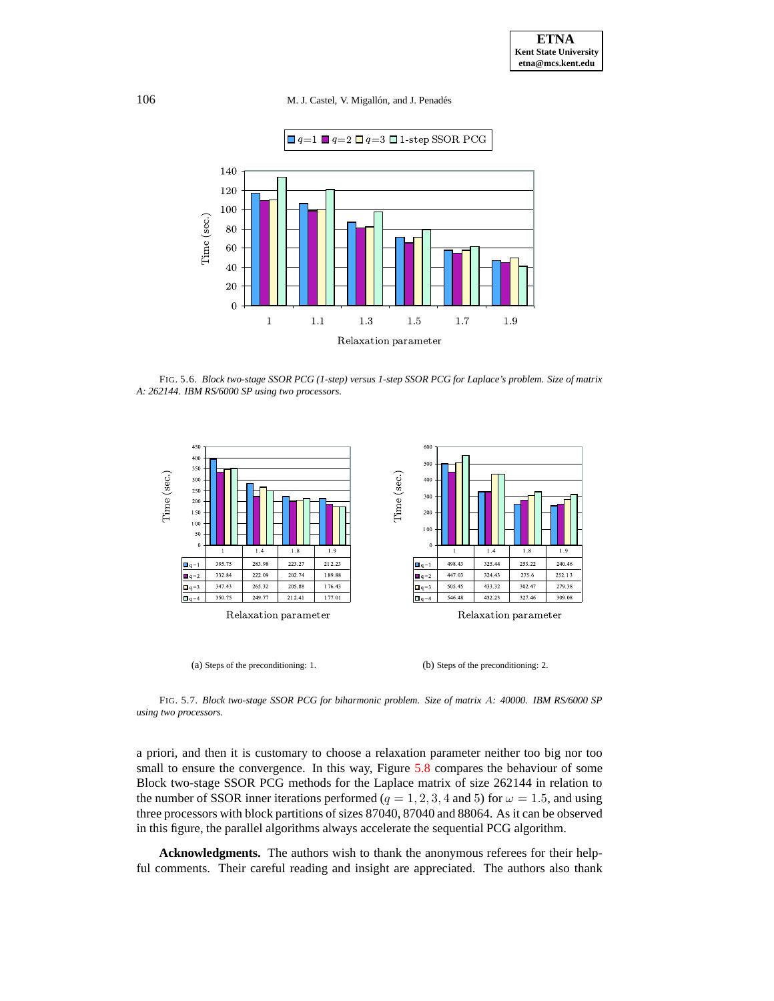

<span id="page-18-0"></span>FIG. 5.6. *Block two-stage SSOR PCG (1-step) versus 1-step SSOR PCG for Laplace's problem. Size of matrix A: 262144. IBM RS/6000 SP using two processors.*



<span id="page-18-1"></span>FIG. 5.7. *Block two-stage SSOR PCG for biharmonic problem. Size of matrix* A*: 40000. IBM RS/6000 SP using two processors.*

a priori, and then it is customary to choose a relaxation parameter neither too big nor too small to ensure the convergence. In this way, Figure [5.8](#page-19-16) compares the behaviour of some Block two-stage SSOR PCG methods for the Laplace matrix of size 262144 in relation to the number of SSOR inner iterations performed ( $q = 1, 2, 3, 4$  and 5) for  $\omega = 1.5$ , and using three processors with block partitions of sizes 87040, 87040 and 88064. As it can be observed in this figure, the parallel algorithms always accelerate the sequential PCG algorithm.

**Acknowledgments.** The authors wish to thank the anonymous referees for their helpful comments. Their careful reading and insight are appreciated. The authors also thank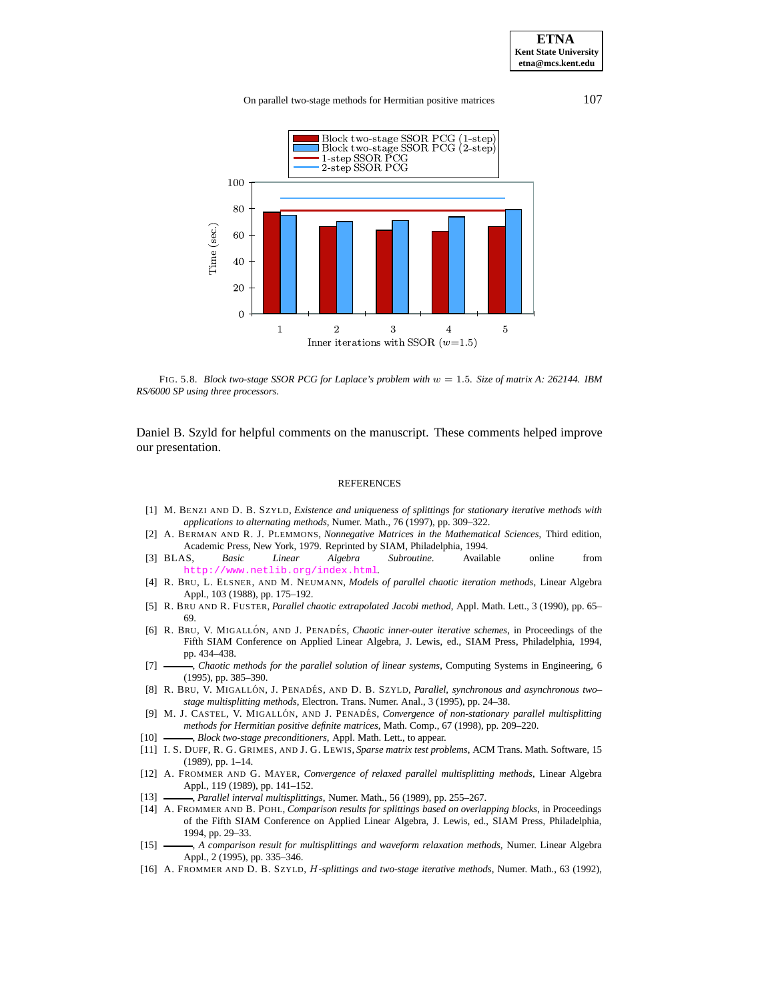#### On parallel two-stage methods for Hermitian positive matrices 107



<span id="page-19-16"></span>FIG. 5.8. *Block two-stage SSOR PCG for Laplace's problem with* w = 1.5*. Size of matrix A: 262144. IBM RS/6000 SP using three processors.*

Daniel B. Szyld for helpful comments on the manuscript. These comments helped improve our presentation.

#### REFERENCES

- <span id="page-19-12"></span>[1] M. BENZI AND D. B. SZYLD, *Existence and uniqueness of splittings for stationary iterative methods with applications to alternating methods*, Numer. Math., 76 (1997), pp. 309–322.
- <span id="page-19-0"></span>[2] A. BERMAN AND R. J. PLEMMONS, *Nonnegative Matrices in the Mathematical Sciences*, Third edition, Academic Press, New York, 1979. Reprinted by SIAM, Philadelphia, 1994.
- <span id="page-19-14"></span>[3] BLAS, *Basic Linear Algebra Subroutine*. Available online from <http://www.netlib.org/index.html>.
- <span id="page-19-6"></span>[4] R. BRU, L. ELSNER, AND M. NEUMANN, *Models of parallel chaotic iteration methods*, Linear Algebra Appl., 103 (1988), pp. 175–192.
- <span id="page-19-8"></span>[5] R. BRU AND R. FUSTER, *Parallel chaotic extrapolated Jacobi method*, Appl. Math. Lett., 3 (1990), pp. 65– 69.
- <span id="page-19-2"></span>[6] R. BRU, V. MIGALLÓN, AND J. PENADÉS, *Chaotic inner-outer iterative schemes*, in Proceedings of the Fifth SIAM Conference on Applied Linear Algebra, J. Lewis, ed., SIAM Press, Philadelphia, 1994, pp. 434–438.
- <span id="page-19-9"></span>[7] , *Chaotic methods for the parallel solution of linear systems*, Computing Systems in Engineering, 6 (1995), pp. 385–390.
- <span id="page-19-3"></span>[8] R. BRU, V. MIGALLÓN, J. PENADÉS, AND D. B. SZYLD, *Parallel, synchronous and asynchronous twostage multisplitting methods*, Electron. Trans. Numer. Anal., 3 (1995), pp. 24–38.
- <span id="page-19-7"></span>[9] M. J. CASTEL, V. MIGALLÓN, AND J. PENADÉS, *Convergence of non-stationary parallel multisplitting methods for Hermitian positive definite matrices*, Math. Comp., 67 (1998), pp. 209–220.
- <span id="page-19-15"></span><span id="page-19-13"></span>[10] , *Block two-stage preconditioners*, Appl. Math. Lett., to appear.
- [11] I. S. DUFF, R. G. GRIMES, AND J. G. LEWIS, *Sparse matrix test problems*, ACM Trans. Math. Software, 15 (1989), pp. 1–14.
- <span id="page-19-4"></span>[12] A. FROMMER AND G. MAYER, *Convergence of relaxed parallel multisplitting methods*, Linear Algebra Appl., 119 (1989), pp. 141–152.
- <span id="page-19-10"></span><span id="page-19-5"></span>[13] , *Parallel interval multisplittings*, Numer. Math., 56 (1989), pp. 255–267.
- [14] A. FROMMER AND B. POHL, *Comparison results for splittings based on overlapping blocks*, in Proceedings of the Fifth SIAM Conference on Applied Linear Algebra, J. Lewis, ed., SIAM Press, Philadelphia, 1994, pp. 29–33.
- <span id="page-19-11"></span>[15] , *A comparison result for multisplittings and waveform relaxation methods*, Numer. Linear Algebra Appl., 2 (1995), pp. 335–346.
- <span id="page-19-1"></span>[16] A. FROMMER AND D. B. SZYLD, H*-splittings and two-stage iterative methods*, Numer. Math., 63 (1992),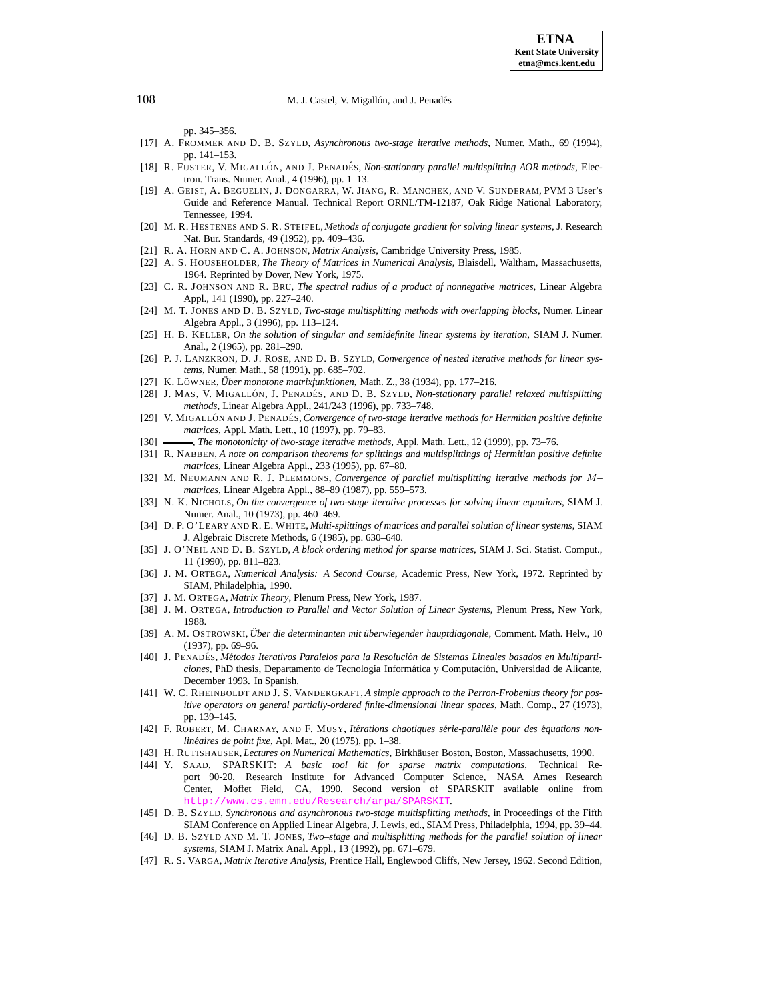pp. 345–356.

- <span id="page-20-7"></span>[17] A. FROMMER AND D. B. SZYLD, *Asynchronous two-stage iterative methods*, Numer. Math., 69 (1994), pp. 141–153.
- <span id="page-20-15"></span>[18] R. FUSTER, V. MIGALLÓN, AND J. PENADÉS, *Non-stationary parallel multisplitting AOR methods*, Electron. Trans. Numer. Anal., 4 (1996), pp. 1–13.
- <span id="page-20-28"></span>[19] A. GEIST, A. BEGUELIN, J. DONGARRA, W. JIANG, R. MANCHEK, AND V. SUNDERAM, PVM 3 User's Guide and Reference Manual. Technical Report ORNL/TM-12187, Oak Ridge National Laboratory, Tennessee, 1994.
- <span id="page-20-30"></span>[20] M. R. HESTENES AND S. R. STEIFEL, *Methods of conjugate gradient for solving linear systems*, J. Research Nat. Bur. Standards, 49 (1952), pp. 409–436.
- <span id="page-20-25"></span><span id="page-20-20"></span>[21] R. A. HORN AND C. A. JOHNSON, *Matrix Analysis*, Cambridge University Press, 1985.
- [22] A. S. HOUSEHOLDER, *The Theory of Matrices in Numerical Analysis*, Blaisdell, Waltham, Massachusetts, 1964. Reprinted by Dover, New York, 1975.
- <span id="page-20-17"></span>[23] C. R. JOHNSON AND R. BRU, *The spectral radius of a product of nonnegative matrices*, Linear Algebra Appl., 141 (1990), pp. 227–240.
- <span id="page-20-19"></span>[24] M. T. JONES AND D. B. SZYLD, *Two-stage multisplitting methods with overlapping blocks*, Numer. Linear Algebra Appl., 3 (1996), pp. 113–124.
- <span id="page-20-16"></span>[25] H. B. KELLER, *On the solution of singular and semidefinite linear systems by iteration*, SIAM J. Numer. Anal., 2 (1965), pp. 281–290.
- <span id="page-20-4"></span>[26] P. J. LANZKRON, D. J. ROSE, AND D. B. SZYLD, *Convergence of nested iterative methods for linear systems*, Numer. Math., 58 (1991), pp. 685–702.
- <span id="page-20-24"></span><span id="page-20-14"></span>[27] K. LO¨ WNER, *Uber ¨ monotone matrixfunktionen*, Math. Z., 38 (1934), pp. 177–216.
- [28] J. MAS, V. MIGALLÓN, J. PENADÉS, AND D. B. SZYLD, *Non-stationary parallel relaxed multisplitting methods*, Linear Algebra Appl., 241/243 (1996), pp. 733–748.
- <span id="page-20-5"></span>[29] V. MIGALLO´ N AND J. PENADE´ S, *Convergence of two-stage iterative methods for Hermitian positive definite matrices*, Appl. Math. Lett., 10 (1997), pp. 79–83.
- <span id="page-20-26"></span><span id="page-20-23"></span>[30] , *The monotonicity of two-stage iterative methods*, Appl. Math. Lett., 12 (1999), pp. 73–76.
- [31] R. NABBEN, *A note on comparison theorems for splittings and multisplittings of Hermitian positive definite matrices*, Linear Algebra Appl., 233 (1995), pp. 67–80.
- <span id="page-20-12"></span>[32] M. NEUMANN AND R. J. PLEMMONS, *Convergence of parallel multisplitting iterative methods for* M*– matrices*, Linear Algebra Appl., 88–89 (1987), pp. 559–573.
- <span id="page-20-6"></span>[33] N. K. NICHOLS, *On the convergence of two-stage iterative processes for solving linear equations*, SIAM J. Numer. Anal., 10 (1973), pp. 460–469.
- <span id="page-20-11"></span>[34] D. P. O'LEARY AND R. E. WHITE, *Multi-splittings of matrices and parallel solution of linear systems*, SIAM J. Algebraic Discrete Methods, 6 (1985), pp. 630–640.
- <span id="page-20-0"></span>[35] J. O'NEIL AND D. B. SZYLD, *A block ordering method for sparse matrices*, SIAM J. Sci. Statist. Comput., 11 (1990), pp. 811–823.
- <span id="page-20-22"></span>[36] J. M. ORTEGA, *Numerical Analysis: A Second Course*, Academic Press, New York, 1972. Reprinted by SIAM, Philadelphia, 1990.
- <span id="page-20-2"></span><span id="page-20-1"></span>[37] J. M. ORTEGA, *Matrix Theory*, Plenum Press, New York, 1987.
- [38] J. M. ORTEGA, *Introduction to Parallel and Vector Solution of Linear Systems*, Plenum Press, New York, 1988.
- <span id="page-20-8"></span>[39] A. M. OSTROWSKI, *Uber ¨ die determinanten mit uberwie ¨ gender hauptdiagonale*, Comment. Math. Helv., 10 (1937), pp. 69–96.
- <span id="page-20-9"></span>[40] J. PENADE´ S, *Metodos ´ Iterativos Paralelos para la Resolucion´ de Sistemas Lineales basados en Multiparticiones*, PhD thesis, Departamento de Tecnología Informática y Computación, Universidad de Alicante, December 1993. In Spanish.
- <span id="page-20-21"></span>[41] W. C. RHEINBOLDT AND J. S. VANDERGRAFT, *A simple approach to the Perron-Frobenius theory for positive operators on general partially-ordered finite-dimensional linear spaces*, Math. Comp., 27 (1973), pp. 139–145.
- <span id="page-20-18"></span>[42] F. ROBERT, M. CHARNAY, AND F. MUSY, *Itérations chaotiques série-parallèle pour des équations nonlineair ´ es de point fixe*, Apl. Mat., 20 (1975), pp. 1–38.
- <span id="page-20-29"></span><span id="page-20-27"></span>[43] H. RUTISHAUSER, *Lectures on Numerical Mathematics*, Birkhäuser Boston, Boston, Massachusetts, 1990.
- [44] Y. SAAD, SPARSKIT: *A basic tool kit for sparse matrix computations*, Technical Report 90-20, Research Institute for Advanced Computer Science, NASA Ames Research Center, Moffet Field, CA, 1990. Second version of SPARSKIT available online from cs.emn.edu/Research/arpa
- <span id="page-20-10"></span>[45] D. B. SZYLD, *Synchronous and asynchronous two-stage multisplitting methods*, in Proceedings of the Fifth SIAM Conference on Applied Linear Algebra, J. Lewis, ed., SIAM Press, Philadelphia, 1994, pp. 39–44.
- <span id="page-20-13"></span>[46] D. B. SZYLD AND M. T. JONES, *Two–stage and multisplitting methods for the parallel solution of linear systems*, SIAM J. Matrix Anal. Appl., 13 (1992), pp. 671–679.
- <span id="page-20-3"></span>[47] R. S. VARGA, *Matrix Iterative Analysis*, Prentice Hall, Englewood Cliffs, New Jersey, 1962. Second Edition,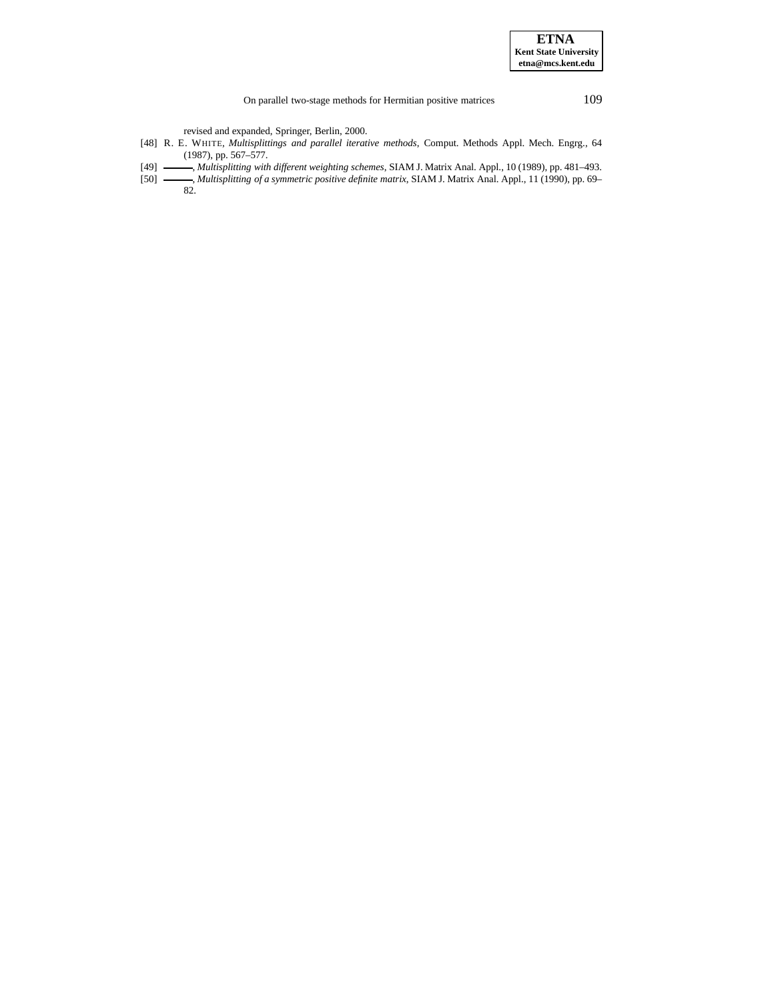On parallel two-stage methods for Hermitian positive matrices 109

revised and expanded, Springer, Berlin, 2000.

- <span id="page-21-1"></span><span id="page-21-0"></span>[48] R. E. WHITE, *Multisplittings and parallel iterative methods*, Comput. Methods Appl. Mech. Engrg., 64 (1987), pp. 567–577.
- [49] , *Multisplitting with different weighting schemes*, SIAM J. Matrix Anal. Appl., 10 (1989), pp. 481–493.
- <span id="page-21-2"></span>[50] , *Multisplitting of a symmetric positive definite matrix*, SIAM J. Matrix Anal. Appl., 11 (1990), pp. 69–
- 82.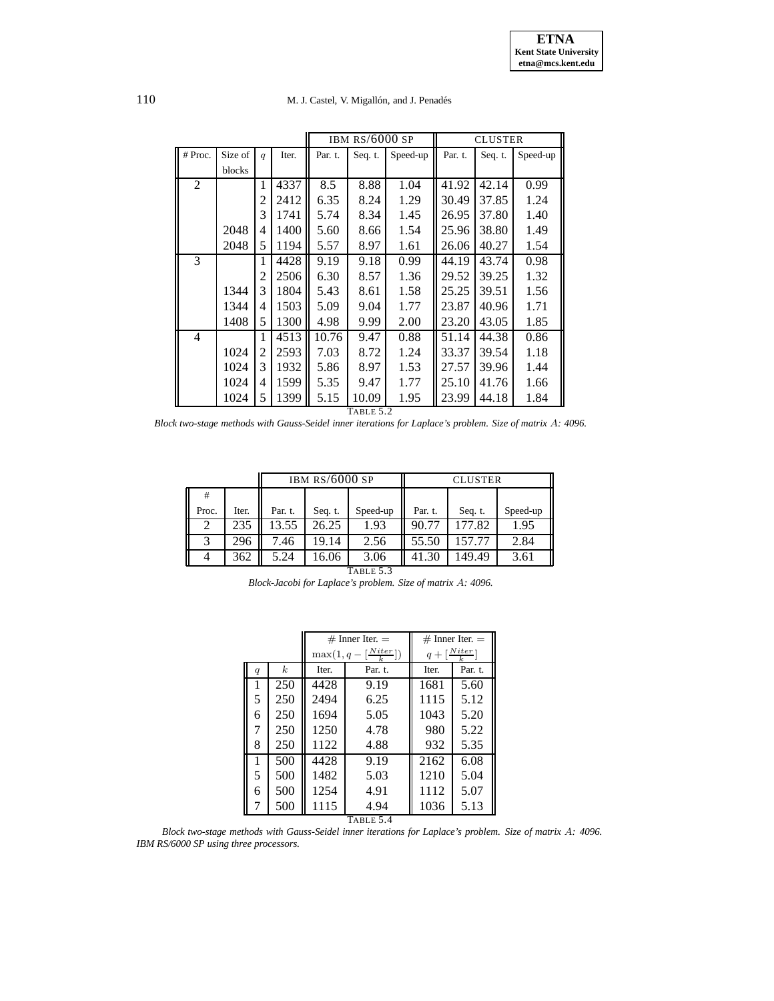110 M. J. Castel, V. Migallón, and J. Penadés

|                |         |                |       |         | IBM RS/6000 SP |          |         | <b>CLUSTER</b> |          |  |
|----------------|---------|----------------|-------|---------|----------------|----------|---------|----------------|----------|--|
| # Proc.        | Size of | q              | Iter. | Par. t. | Seq. t.        | Speed-up | Par. t. | Seq. t.        | Speed-up |  |
|                | blocks  |                |       |         |                |          |         |                |          |  |
| $\overline{2}$ |         | 1              | 4337  | 8.5     | 8.88           | 1.04     | 41.92   | 42.14          | 0.99     |  |
|                |         | 2              | 2412  | 6.35    | 8.24           | 1.29     | 30.49   | 37.85          | 1.24     |  |
|                |         | 3              | 1741  | 5.74    | 8.34           | 1.45     | 26.95   | 37.80          | 1.40     |  |
|                | 2048    | 4              | 1400  | 5.60    | 8.66           | 1.54     | 25.96   | 38.80          | 1.49     |  |
|                | 2048    | 5              | 1194  | 5.57    | 8.97           | 1.61     | 26.06   | 40.27          | 1.54     |  |
| 3              |         | 1              | 4428  | 9.19    | 9.18           | 0.99     | 44.19   | 43.74          | 0.98     |  |
|                |         | 2              | 2506  | 6.30    | 8.57           | 1.36     | 29.52   | 39.25          | 1.32     |  |
|                | 1344    | 3              | 1804  | 5.43    | 8.61           | 1.58     | 25.25   | 39.51          | 1.56     |  |
|                | 1344    | 4              | 1503  | 5.09    | 9.04           | 1.77     | 23.87   | 40.96          | 1.71     |  |
|                | 1408    | 5              | 1300  | 4.98    | 9.99           | 2.00     | 23.20   | 43.05          | 1.85     |  |
| 4              |         | 1              | 4513  | 10.76   | 9.47           | 0.88     | 51.14   | 44.38          | 0.86     |  |
|                | 1024    | $\overline{c}$ | 2593  | 7.03    | 8.72           | 1.24     | 33.37   | 39.54          | 1.18     |  |
|                | 1024    | 3              | 1932  | 5.86    | 8.97           | 1.53     | 27.57   | 39.96          | 1.44     |  |
|                | 1024    | 4              | 1599  | 5.35    | 9.47           | 1.77     | 25.10   | 41.76          | 1.66     |  |
|                | 1024    | 5              | 1399  | 5.15    | 10.09          | 1.95     | 23.99   | 44.18          | 1.84     |  |

TABLE 5.2

<span id="page-22-0"></span>*Block two-stage methods with Gauss-Seidel inner iterations for Laplace's problem. Size of matrix* A*: 4096.*

|           |       |         | IBM $RS/6000$ SP |          | <b>CLUSTER</b> |         |          |  |
|-----------|-------|---------|------------------|----------|----------------|---------|----------|--|
| #         |       |         |                  |          |                |         |          |  |
| Proc.     | Iter. | Par. t. | Seq. t.          | Speed-up | Par. t.        | Seq. t. | Speed-up |  |
| 2         | 235   | 13.55   | 26.25            | 1.93     | 90.77          | 177.82  | 1.95     |  |
| 3         | 296   | 7.46    | 19.14            | 2.56     | 55.50          | 157.77  | 2.84     |  |
|           | 362   | 5.24    | 16.06            | 3.06     | 41.30          | 149.49  | 3.61     |  |
| TABLE 5.3 |       |         |                  |          |                |         |          |  |

<span id="page-22-1"></span>*Block-Jacobi for Laplace's problem. Size of matrix* A*: 4096.*

|                  |                  |       | $#$ Inner Iter. $=$                         | $#$ Inner Iter. $=$                |         |  |  |  |
|------------------|------------------|-------|---------------------------------------------|------------------------------------|---------|--|--|--|
|                  |                  |       | $\max(1, q - \left[\frac{Niter}{k}\right])$ | $q + \left[\frac{Niter}{k}\right]$ |         |  |  |  |
| $\boldsymbol{q}$ | $\boldsymbol{k}$ | Iter. | Par. t.                                     |                                    | Par. t. |  |  |  |
| 1                | 250              | 4428  | 9.19                                        | 1681                               | 5.60    |  |  |  |
| 5                | 250              | 2494  | 6.25                                        | 1115                               | 5.12    |  |  |  |
| 6                | 250              | 1694  | 5.05                                        | 1043                               | 5.20    |  |  |  |
| 7                | 250              | 1250  | 4.78                                        | 980                                | 5.22    |  |  |  |
| 8                | 250              | 1122  | 4.88                                        | 932                                | 5.35    |  |  |  |
| 1                | 500              | 4428  | 9.19                                        | 2162                               | 6.08    |  |  |  |
| 5                | 500              | 1482  | 5.03                                        | 1210                               | 5.04    |  |  |  |
| 6                | 500              | 1254  | 4.91                                        | 1112                               | 5.07    |  |  |  |
| 7                | 500              | 1115  | 4.94                                        | 1036                               | 5.13    |  |  |  |
| TABLE 5.4        |                  |       |                                             |                                    |         |  |  |  |

<span id="page-22-2"></span>*Block two-stage methods with Gauss-Seidel inner iterations for Laplace's problem. Size of matrix* A*: 4096. IBM RS/6000 SP using three processors.*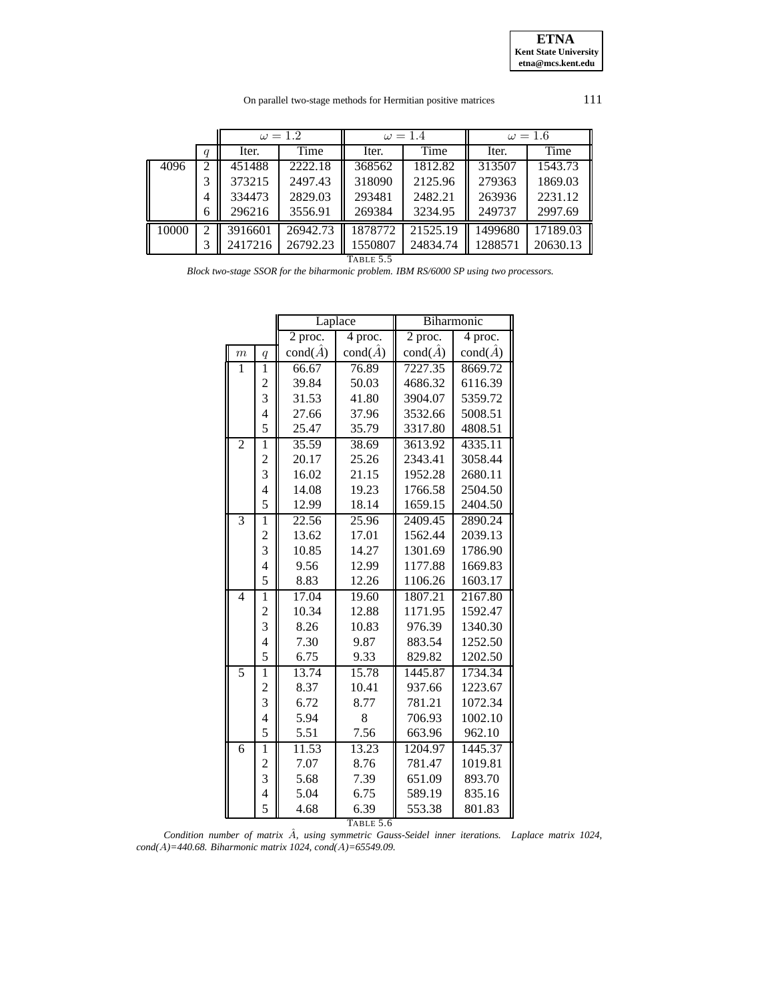On parallel two-stage methods for Hermitian positive matrices 111

|       |                | $\omega = 1.2$ |          | $\omega = 1.4$ |          | $\omega = 1.6$ |          |
|-------|----------------|----------------|----------|----------------|----------|----------------|----------|
|       | q              | Iter.          | Time     | Iter.          | Time     | Iter.          | Time     |
| 4096  | 2              | 451488         | 2222.18  | 368562         | 1812.82  | 313507         | 1543.73  |
|       | 3              | 373215         | 2497.43  | 318090         | 2125.96  | 279363         | 1869.03  |
|       | 4              | 334473         | 2829.03  | 293481         | 2482.21  | 263936         | 2231.12  |
|       | 6              | 296216         | 3556.91  | 269384         | 3234.95  | 249737         | 2997.69  |
| 10000 | $\mathfrak{D}$ | 3916601        | 26942.73 | 1878772        | 21525.19 | 1499680        | 17189.03 |
|       |                | 2417216        | 26792.23 | 1550807        | 24834.74 | 1288571        | 20630.13 |

TABLE 5.5

<span id="page-23-0"></span>*Block two-stage SSOR for the biharmonic problem. IBM RS/6000 SP using two processors.*

|                  |                          |                        | Laplace                | Biharmonic             |                        |  |  |  |  |
|------------------|--------------------------|------------------------|------------------------|------------------------|------------------------|--|--|--|--|
|                  |                          | 2 proc.                | 4 proc.                | $\overline{2}$ proc.   | 4 proc.                |  |  |  |  |
| $\boldsymbol{m}$ | $\boldsymbol{q}$         | $\text{cond}(\hat{A})$ | $\text{cond}(\hat{A})$ | $\text{cond}(\hat{A})$ | $\text{cond}(\hat{A})$ |  |  |  |  |
| 1                | $\mathbf{1}$             | 66.67                  | 76.89                  | 7227.35                | 8669.72                |  |  |  |  |
|                  |                          | 39.84                  | 50.03                  | 4686.32                | 6116.39                |  |  |  |  |
|                  | $\frac{2}{3}$            | 31.53                  | 41.80                  | 3904.07                | 5359.72                |  |  |  |  |
|                  | $\overline{\mathcal{A}}$ | 27.66                  | 37.96                  | 3532.66                | 5008.51                |  |  |  |  |
|                  | 5                        | 25.47                  | 35.79                  | 3317.80                | 4808.51                |  |  |  |  |
| $\overline{2}$   | $\mathbf{1}$             | 35.59                  | 38.69                  | 3613.92                | 4335.11                |  |  |  |  |
|                  | $\frac{2}{3}$            | 20.17                  | 25.26                  | 2343.41                | 3058.44                |  |  |  |  |
|                  |                          | 16.02                  | 21.15                  | 1952.28                | 2680.11                |  |  |  |  |
|                  | $\overline{\mathcal{A}}$ | 14.08                  | 19.23                  | 1766.58                | 2504.50                |  |  |  |  |
|                  | 5                        | 12.99                  | 18.14                  | 1659.15                | 2404.50                |  |  |  |  |
| $\overline{3}$   | $\overline{1}$           | 22.56                  | 25.96                  | 2409.45                | 2890.24                |  |  |  |  |
|                  |                          | 13.62                  | 17.01                  | 1562.44                | 2039.13                |  |  |  |  |
|                  | $\frac{2}{3}$            | 10.85                  | 14.27                  | 1301.69                | 1786.90                |  |  |  |  |
|                  | $\overline{\mathbf{4}}$  | 9.56                   | 12.99                  | 1177.88                | 1669.83                |  |  |  |  |
|                  | 5                        | 8.83                   | 12.26                  | 1106.26                | 1603.17                |  |  |  |  |
| $\overline{4}$   | $\overline{1}$           | 17.04                  | 19.60                  | 1807.21                | 2167.80                |  |  |  |  |
|                  | $\frac{2}{3}$            | 10.34                  | 12.88                  | 1171.95                | 1592.47                |  |  |  |  |
|                  |                          | 8.26                   | 10.83                  | 976.39                 | 1340.30                |  |  |  |  |
|                  | $\overline{\mathbf{4}}$  | 7.30                   | 9.87                   | 883.54                 | 1252.50                |  |  |  |  |
|                  | 5                        | 6.75                   | 9.33                   | 829.82                 | 1202.50                |  |  |  |  |
| 5                | $\overline{1}$           | 13.74                  | 15.78                  | 1445.87                | 1734.34                |  |  |  |  |
|                  | $\frac{2}{3}$            | 8.37                   | 10.41                  | 937.66                 | 1223.67                |  |  |  |  |
|                  |                          | 6.72                   | 8.77                   | 781.21                 | 1072.34                |  |  |  |  |
|                  | $\overline{4}$           | 5.94                   | 8                      | 706.93                 | 1002.10                |  |  |  |  |
|                  | 5                        | 5.51                   | 7.56                   | 663.96                 | 962.10                 |  |  |  |  |
| $\overline{6}$   | ī                        | 11.53                  | 13.23                  | 1204.97                | 1445.37                |  |  |  |  |
|                  | $\frac{2}{3}$            | 7.07                   | 8.76                   | 781.47                 | 1019.81                |  |  |  |  |
|                  |                          | 5.68                   | 7.39                   | 651.09                 | 893.70                 |  |  |  |  |
|                  | $\overline{4}$           | 5.04                   | 6.75                   | 589.19                 | 835.16                 |  |  |  |  |
|                  | 5                        | 4.68                   | 6.39                   | 553.38                 | 801.83                 |  |  |  |  |
| TABLE 5.6        |                          |                        |                        |                        |                        |  |  |  |  |

<span id="page-23-1"></span>*Condition number of matrix* Aˆ*, using symmetric Gauss-Seidel inner iterations. Laplace matrix 1024, cond(*A*)=440.68. Biharmonic matrix 1024, cond(*A*)=65549.09.*